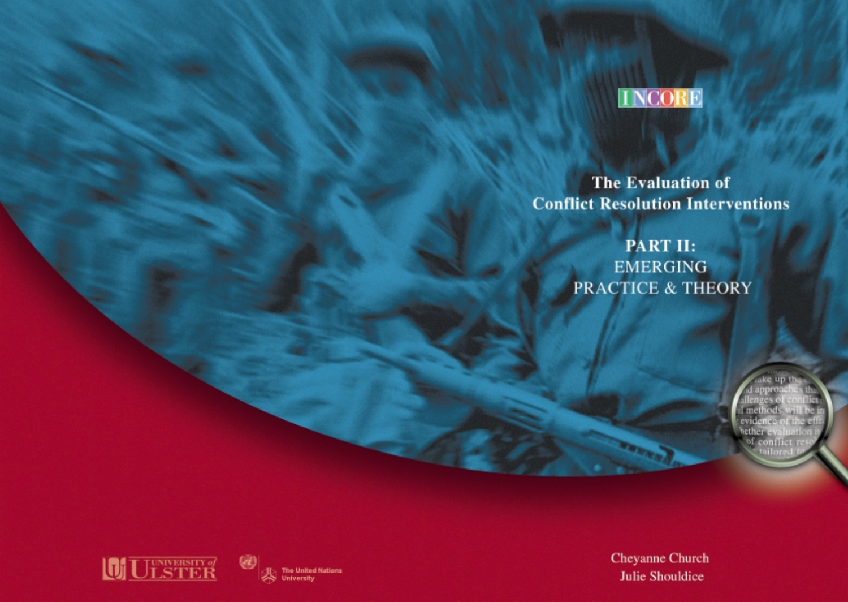

**The Evaluation of Conflict Resolution Interventions** 

> PART II: **EMERGING** PRACTICE & THEORY

> > ce up th 1 methods wi<br>evidence of th hether eval of conflict re





Cheyanne Church **Julie Shouldice**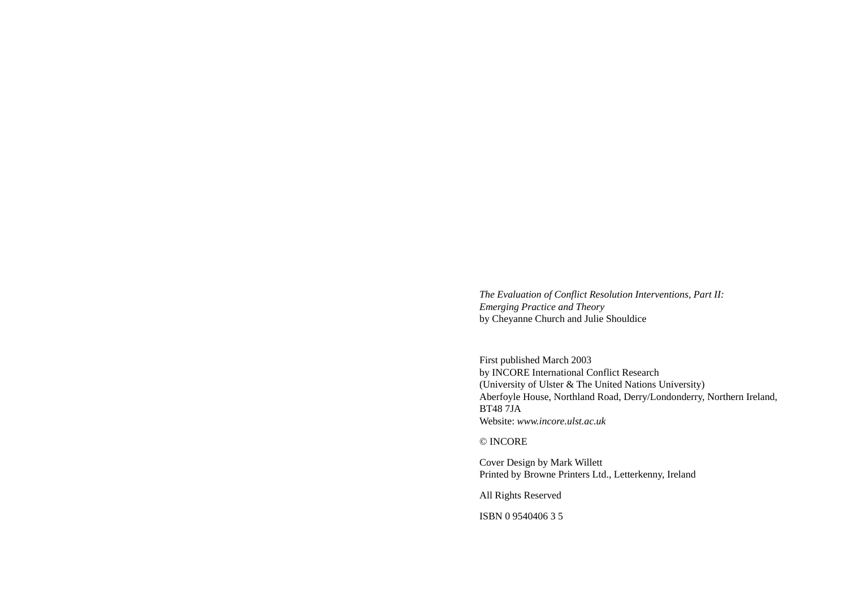*The Evaluation of Conflict Resolution Interventions, Part II: Emerging Practice and Theory*  by Cheyanne Church and Julie Shouldice

First published March 2003 by INCORE International Conflict Research (University of Ulster & The United Nations University) Aberfoyle House, Northland Road, Derry/Londonderry, Northern Ireland, BT48 7JA Website: *www.incore.ulst.ac.uk*

© INCORE

Cover Design by Mark Willett Printed by Browne Printers Ltd., Letterkenny, Ireland

All Rights Reserved

ISBN 0 9540406 3 5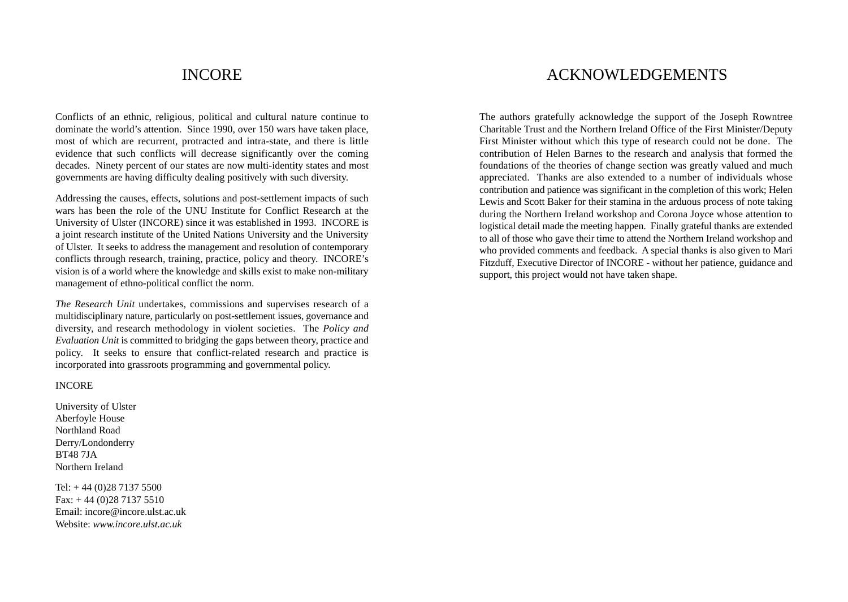## INCORE

Conflicts of an ethnic, religious, political and cultural nature continue to dominate the world's attention. Since 1990, over 150 wars have taken place, most of which are recurrent, protracted and intra-state, and there is little evidence that such conflicts will decrease significantly over the coming decades. Ninety percent of our states are now multi-identity states and most governments are having difficulty dealing positively with such diversity.

Addressing the causes, effects, solutions and post-settlement impacts of such wars has been the role of the UNU Institute for Conflict Research at the University of Ulster (INCORE) since it was established in 1993. INCORE is a joint research institute of the United Nations University and the University of Ulster. It seeks to address the management and resolution of contemporary conflicts through research, training, practice, policy and theory. INCORE's vision is of a world where the knowledge and skills exist to make non-military management of ethno-political conflict the norm.

*The Research Unit* undertakes, commissions and supervises research of a multidisciplinary nature, particularly on post-settlement issues, governance and diversity, and research methodology in violent societies. The *Policy and Evaluation Unit* is committed to bridging the gaps between theory, practice and policy. It seeks to ensure that conflict-related research and practice is incorporated into grassroots programming and governmental policy.

#### INCORE

University of Ulster Aberfoyle House Northland Road Derry/Londonderry BT48 7JA Northern Ireland

Tel: + 44 (0)28 7137 5500 Fax: + 44 (0)28 7137 5510 Email: incore@incore.ulst.ac.uk Website: *www.incore.ulst.ac.uk*

## ACKNOWLEDGEMENTS

The authors gratefully acknowledge the support of the Joseph Rowntree Charitable Trust and the Northern Ireland Office of the First Minister/Deputy First Minister without which this type of research could not be done. The contribution of Helen Barnes to the research and analysis that formed the foundations of the theories of change section was greatly valued and much appreciated. Thanks are also extended to a number of individuals whose contribution and patience was significant in the completion of this work; Helen Lewis and Scott Baker for their stamina in the arduous process of note taking during the Northern Ireland workshop and Corona Joyce whose attention to logistical detail made the meeting happen. Finally grateful thanks are extended to all of those who gave their time to attend the Northern Ireland workshop and who provided comments and feedback. A special thanks is also given to Mari Fitzduff, Executive Director of INCORE - without her patience, guidance and support, this project would not have taken shape.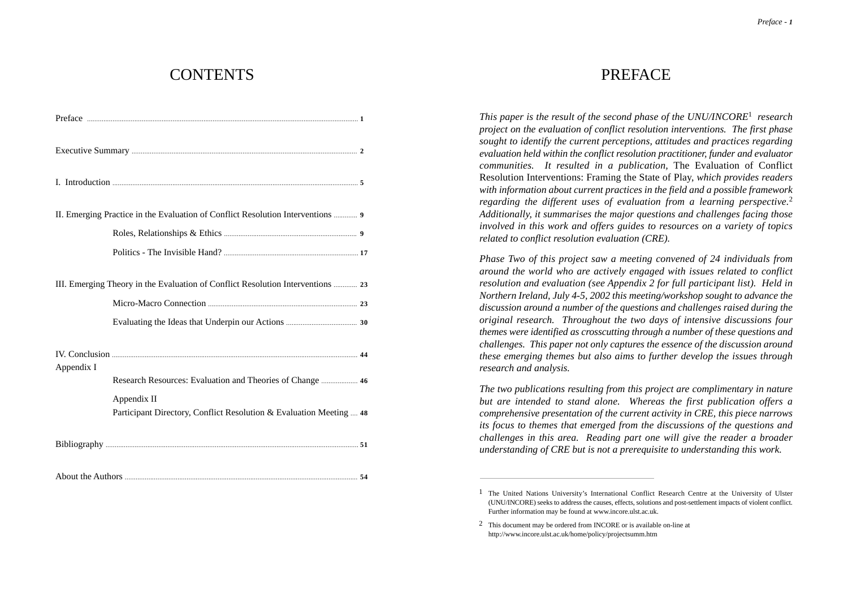## **CONTENTS**

| II. Emerging Practice in the Evaluation of Conflict Resolution Interventions  9    |  |
|------------------------------------------------------------------------------------|--|
|                                                                                    |  |
|                                                                                    |  |
| III. Emerging Theory in the Evaluation of Conflict Resolution Interventions  23    |  |
|                                                                                    |  |
|                                                                                    |  |
| Appendix I                                                                         |  |
| Research Resources: Evaluation and Theories of Change  46                          |  |
| Appendix II<br>Participant Directory, Conflict Resolution & Evaluation Meeting  48 |  |
|                                                                                    |  |
|                                                                                    |  |

## **PREFACE**

*This paper is the result of the second phase of the UNU/INCORE*<sup>1</sup> *research project on the evaluation of conflict resolution interventions. The first phase sought to identify the current perceptions, attitudes and practices regarding evaluation held within the conflict resolution practitioner, funder and evaluator communities. It resulted in a publication,* The Evaluation of Conflict Resolution Interventions: Framing the State of Play, *which provides readers with information about current practices in the field and a possible framework regarding the different uses of evaluation from a learning perspective.*<sup>2</sup> *Additionally, it summarises the major questions and challenges facing those involved in this work and offers guides to resources on a variety of topics related to conflict resolution evaluation (CRE).*

*Phase Two of this project saw a meeting convened of 24 individuals from around the world who are actively engaged with issues related to conflict resolution and evaluation (see Appendix 2 for full participant list). Held in Northern Ireland, July 4-5, 2002 this meeting/workshop sought to advance the discussion around a number of the questions and challenges raised during the original research. Throughout the two days of intensive discussions four themes were identified as crosscutting through a number of these questions and challenges. This paper not only captures the essence of the discussion around these emerging themes but also aims to further develop the issues through research and analysis.* 

*The two publications resulting from this project are complimentary in nature but are intended to stand alone. Whereas the first publication offers a comprehensive presentation of the current activity in CRE, this piece narrows its focus to themes that emerged from the discussions of the questions and challenges in this area. Reading part one will give the reader a broader understanding of CRE but is not a prerequisite to understanding this work.*

<sup>1</sup> The United Nations University's International Conflict Research Centre at the University of Ulster (UNU/INCORE) seeks to address the causes, effects, solutions and post-settlement impacts of violent conflict. Further information may be found at www.incore.ulst.ac.uk.

<sup>2</sup> This document may be ordered from INCORE or is available on-line at http://www.incore.ulst.ac.uk/home/policy/projectsumm.htm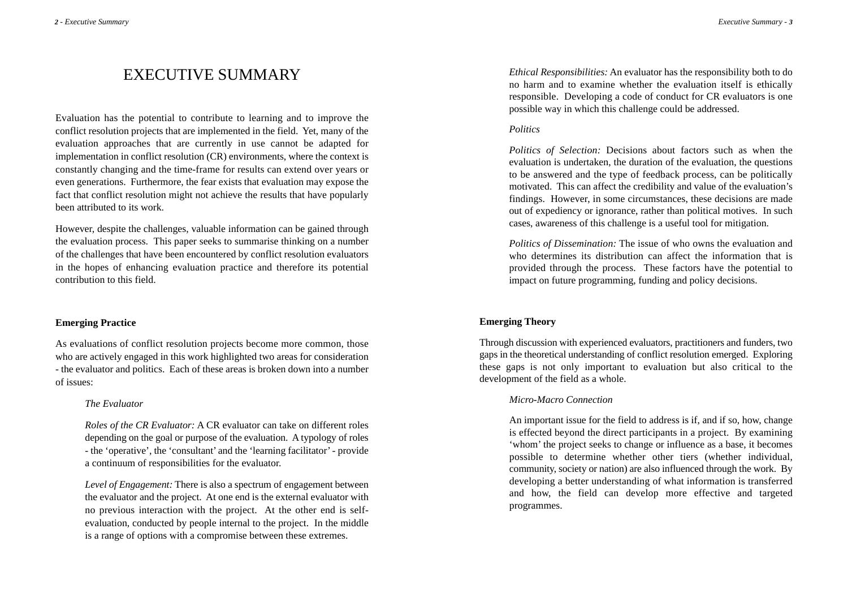## EXECUTIVE SUMMARY

Evaluation has the potential to contribute to learning and to improve the conflict resolution projects that are implemented in the field. Yet, many of the evaluation approaches that are currently in use cannot be adapted for implementation in conflict resolution (CR) environments, where the context is constantly changing and the time-frame for results can extend over years or even generations. Furthermore, the fear exists that evaluation may expose the fact that conflict resolution might not achieve the results that have popularly been attributed to its work.

However, despite the challenges, valuable information can be gained through the evaluation process. This paper seeks to summarise thinking on a number of the challenges that have been encountered by conflict resolution evaluators in the hopes of enhancing evaluation practice and therefore its potential contribution to this field.

#### **Emerging Practice**

As evaluations of conflict resolution projects become more common, those who are actively engaged in this work highlighted two areas for consideration - the evaluator and politics. Each of these areas is broken down into a number of issues:

#### *The Evaluator*

*Roles of the CR Evaluator:* A CR evaluator can take on different roles depending on the goal or purpose of the evaluation. A typology of roles - the 'operative', the 'consultant' and the 'learning facilitator'- provide a continuum of responsibilities for the evaluator.

*Level of Engagement:* There is also a spectrum of engagement between the evaluator and the project. At one end is the external evaluator with no previous interaction with the project. At the other end is selfevaluation, conducted by people internal to the project. In the middle is a range of options with a compromise between these extremes.

*Ethical Responsibilities:* An evaluator has the responsibility both to do no harm and to examine whether the evaluation itself is ethically responsible. Developing a code of conduct for CR evaluators is one possible way in which this challenge could be addressed.

#### *Politics*

*Politics of Selection:* Decisions about factors such as when the evaluation is undertaken, the duration of the evaluation, the questions to be answered and the type of feedback process, can be politically motivated. This can affect the credibility and value of the evaluation's findings. However, in some circumstances, these decisions are made out of expediency or ignorance, rather than political motives. In such cases, awareness of this challenge is a useful tool for mitigation.

*Politics of Dissemination:* The issue of who owns the evaluation and who determines its distribution can affect the information that is provided through the process. These factors have the potential to impact on future programming, funding and policy decisions.

### **Emerging Theory**

Through discussion with experienced evaluators, practitioners and funders, two gaps in the theoretical understanding of conflict resolution emerged. Exploring these gaps is not only important to evaluation but also critical to the development of the field as a whole.

#### *Micro-Macro Connection*

An important issue for the field to address is if, and if so, how, change is effected beyond the direct participants in a project. By examining 'whom' the project seeks to change or influence as a base, it becomes possible to determine whether other tiers (whether individual, community, society or nation) are also influenced through the work. By developing a better understanding of what information is transferred and how, the field can develop more effective and targeted programmes.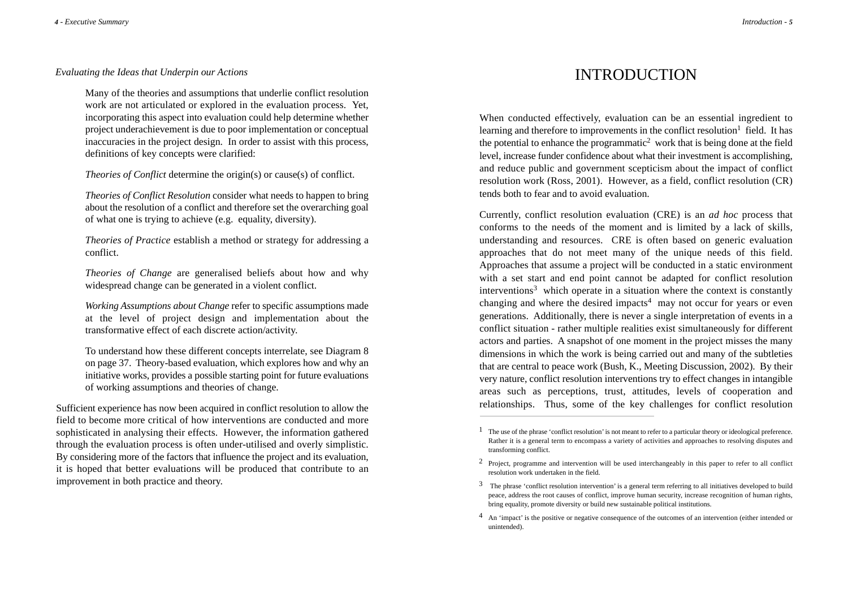#### *Evaluating the Ideas that Underpin our Actions*

Many of the theories and assumptions that underlie conflict resolution work are not articulated or explored in the evaluation process. Yet, incorporating this aspect into evaluation could help determine whether project underachievement is due to poor implementation or conceptual inaccuracies in the project design. In order to assist with this process, definitions of key concepts were clarified:

*Theories of Conflict* determine the origin(s) or cause(s) of conflict.

*Theories of Conflict Resolution* consider what needs to happen to bring about the resolution of a conflict and therefore set the overarching goal of what one is trying to achieve (e.g. equality, diversity).

*Theories of Practice* establish a method or strategy for addressing a conflict.

*Theories of Change* are generalised beliefs about how and why widespread change can be generated in a violent conflict.

*Working Assumptions about Change* refer to specific assumptions made at the level of project design and implementation about the transformative effect of each discrete action/activity.

To understand how these different concepts interrelate, see Diagram 8 on page 37. Theory-based evaluation, which explores how and why an initiative works, provides a possible starting point for future evaluations of working assumptions and theories of change.

Sufficient experience has now been acquired in conflict resolution to allow the field to become more critical of how interventions are conducted and more sophisticated in analysing their effects. However, the information gathered through the evaluation process is often under-utilised and overly simplistic. By considering more of the factors that influence the project and its evaluation, it is hoped that better evaluations will be produced that contribute to an improvement in both practice and theory.

## INTRODUCTION

When conducted effectively, evaluation can be an essential ingredient to learning and therefore to improvements in the conflict resolution<sup>1</sup> field. It has the potential to enhance the programmatic<sup>2</sup> work that is being done at the field level, increase funder confidence about what their investment is accomplishing, and reduce public and government scepticism about the impact of conflict resolution work (Ross, 2001). However, as a field, conflict resolution (CR) tends both to fear and to avoid evaluation.

Currently, conflict resolution evaluation (CRE) is an *ad hoc* process that conforms to the needs of the moment and is limited by a lack of skills, understanding and resources. CRE is often based on generic evaluation approaches that do not meet many of the unique needs of this field. Approaches that assume a project will be conducted in a static environment with a set start and end point cannot be adapted for conflict resolution  $interv$ entions<sup>3</sup> which operate in a situation where the context is constantly changing and where the desired impacts<sup>4</sup> may not occur for years or even generations. Additionally, there is never a single interpretation of events in a conflict situation - rather multiple realities exist simultaneously for different actors and parties. A snapshot of one moment in the project misses the many dimensions in which the work is being carried out and many of the subtleties that are central to peace work (Bush, K., Meeting Discussion, 2002). By their very nature, conflict resolution interventions try to effect changes in intangible areas such as perceptions, trust, attitudes, levels of cooperation and relationships. Thus, some of the key challenges for conflict resolution

 $1$  The use of the phrase 'conflict resolution' is not meant to refer to a particular theory or ideological preference. Rather it is a general term to encompass a variety of activities and approaches to resolving disputes and transforming conflict.

<sup>2</sup> Project, programme and intervention will be used interchangeably in this paper to refer to all conflict resolution work undertaken in the field.

<sup>3</sup> The phrase 'conflict resolution intervention' is a general term referring to all initiatives developed to build peace, address the root causes of conflict, improve human security, increase recognition of human rights, bring equality, promote diversity or build new sustainable political institutions.

<sup>4</sup> An 'impact' is the positive or negative consequence of the outcomes of an intervention (either intended or unintended).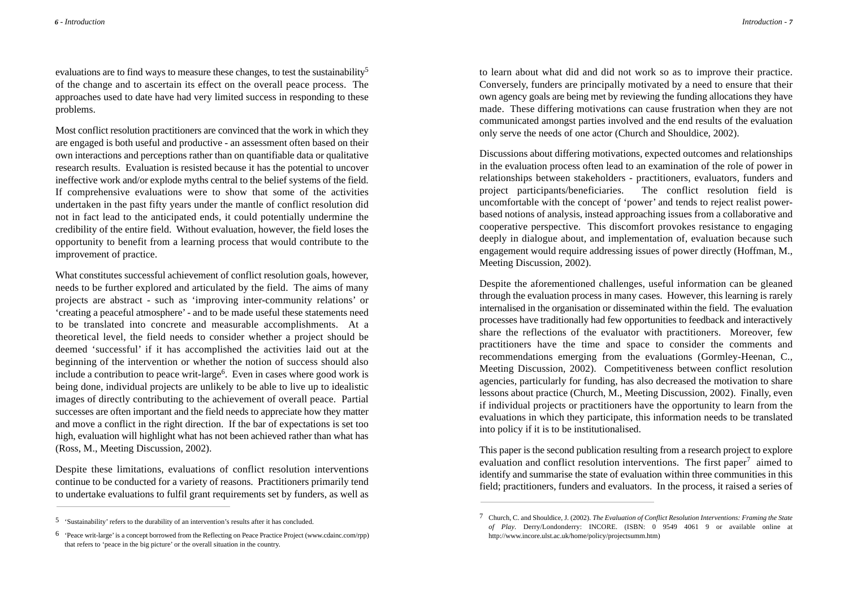evaluations are to find ways to measure these changes, to test the sustainability<sup>5</sup> of the change and to ascertain its effect on the overall peace process. The approaches used to date have had very limited success in responding to these problems.

Most conflict resolution practitioners are convinced that the work in which they are engaged is both useful and productive - an assessment often based on their own interactions and perceptions rather than on quantifiable data or qualitative research results. Evaluation is resisted because it has the potential to uncover ineffective work and/or explode myths central to the belief systems of the field. If comprehensive evaluations were to show that some of the activities undertaken in the past fifty years under the mantle of conflict resolution did not in fact lead to the anticipated ends, it could potentially undermine the credibility of the entire field. Without evaluation, however, the field loses the opportunity to benefit from a learning process that would contribute to the improvement of practice.

What constitutes successful achievement of conflict resolution goals, however, needs to be further explored and articulated by the field. The aims of many projects are abstract - such as 'improving inter-community relations' or 'creating a peaceful atmosphere'- and to be made useful these statements need to be translated into concrete and measurable accomplishments. At a theoretical level, the field needs to consider whether a project should be deemed 'successful' if it has accomplished the activities laid out at the beginning of the intervention or whether the notion of success should also include a contribution to peace writ-large<sup>6</sup>. Even in cases where good work is being done, individual projects are unlikely to be able to live up to idealistic images of directly contributing to the achievement of overall peace. Partial successes are often important and the field needs to appreciate how they matter and move a conflict in the right direction. If the bar of expectations is set too high, evaluation will highlight what has not been achieved rather than what has (Ross, M., Meeting Discussion, 2002).

Despite these limitations, evaluations of conflict resolution interventions continue to be conducted for a variety of reasons. Practitioners primarily tend to undertake evaluations to fulfil grant requirements set by funders, as well as

to learn about what did and did not work so as to improve their practice. Conversely, funders are principally motivated by a need to ensure that their own agency goals are being met by reviewing the funding allocations they have made. These differing motivations can cause frustration when they are not communicated amongst parties involved and the end results of the evaluation only serve the needs of one actor (Church and Shouldice, 2002).

Discussions about differing motivations, expected outcomes and relationships in the evaluation process often lead to an examination of the role of power in relationships between stakeholders - practitioners, evaluators, funders and project participants/beneficiaries. The conflict resolution field is uncomfortable with the concept of 'power' and tends to reject realist powerbased notions of analysis, instead approaching issues from a collaborative and cooperative perspective. This discomfort provokes resistance to engaging deeply in dialogue about, and implementation of, evaluation because such engagement would require addressing issues of power directly (Hoffman, M., Meeting Discussion, 2002).

Despite the aforementioned challenges, useful information can be gleaned through the evaluation process in many cases. However, this learning is rarely internalised in the organisation or disseminated within the field. The evaluation processes have traditionally had few opportunities to feedback and interactively share the reflections of the evaluator with practitioners. Moreover, few practitioners have the time and space to consider the comments and recommendations emerging from the evaluations (Gormley-Heenan, C., Meeting Discussion, 2002). Competitiveness between conflict resolution agencies, particularly for funding, has also decreased the motivation to share lessons about practice (Church, M., Meeting Discussion, 2002). Finally, even if individual projects or practitioners have the opportunity to learn from the evaluations in which they participate, this information needs to be translated into policy if it is to be institutionalised.

This paper is the second publication resulting from a research project to explore evaluation and conflict resolution interventions. The first paper<sup>7</sup> aimed to identify and summarise the state of evaluation within three communities in this field; practitioners, funders and evaluators. In the process, it raised a series of

<sup>5</sup> 'Sustainability' refers to the durability of an intervention's results after it has concluded.

<sup>6</sup> 'Peace writ-large'is a concept borrowed from the Reflecting on Peace Practice Project (www.cdainc.com/rpp) that refers to 'peace in the big picture' or the overall situation in the country.

<sup>7</sup> Church, C. and Shouldice, J. (2002). *The Evaluation of Conflict Resolution Interventions: Framing the State of Play*. Derry/Londonderry: INCORE. (ISBN: 0 9549 4061 9 or available online at http://www.incore.ulst.ac.uk/home/policy/projectsumm.htm)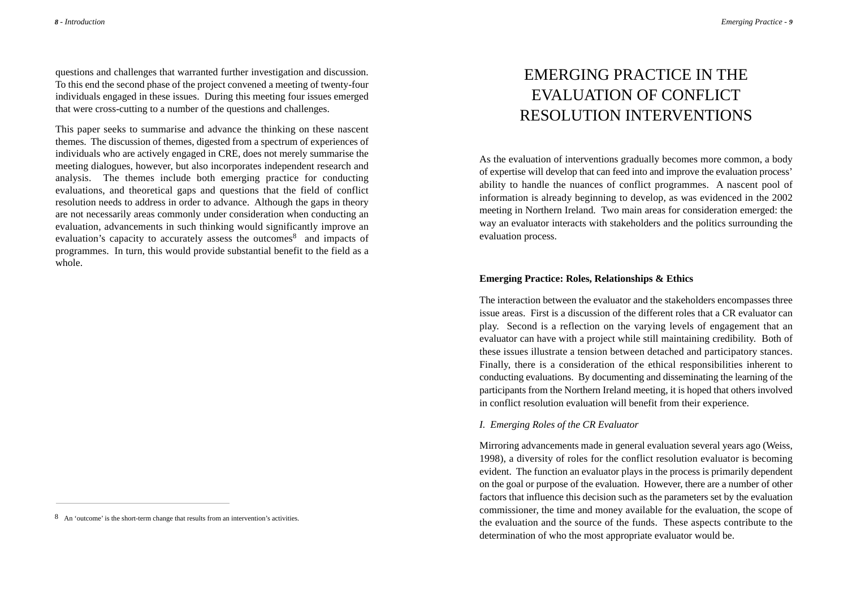questions and challenges that warranted further investigation and discussion. To this end the second phase of the project convened a meeting of twenty-four individuals engaged in these issues. During this meeting four issues emerged that were cross-cutting to a number of the questions and challenges.

This paper seeks to summarise and advance the thinking on these nascent themes. The discussion of themes, digested from a spectrum of experiences of individuals who are actively engaged in CRE, does not merely summarise the meeting dialogues, however, but also incorporates independent research and analysis. The themes include both emerging practice for conducting evaluations, and theoretical gaps and questions that the field of conflict resolution needs to address in order to advance. Although the gaps in theory are not necessarily areas commonly under consideration when conducting an evaluation, advancements in such thinking would significantly improve an evaluation's capacity to accurately assess the outcomes<sup>8</sup> and impacts of programmes. In turn, this would provide substantial benefit to the field as a whole.

# EMERGING PRACTICE IN THE EVALUATION OF CONFLICT RESOLUTION INTERVENTIONS

As the evaluation of interventions gradually becomes more common, a body of expertise will develop that can feed into and improve the evaluation process' ability to handle the nuances of conflict programmes. A nascent pool of information is already beginning to develop, as was evidenced in the 2002 meeting in Northern Ireland. Two main areas for consideration emerged: the way an evaluator interacts with stakeholders and the politics surrounding the evaluation process.

#### **Emerging Practice: Roles, Relationships & Ethics**

The interaction between the evaluator and the stakeholders encompasses three issue areas. First is a discussion of the different roles that a CR evaluator can play. Second is a reflection on the varying levels of engagement that an evaluator can have with a project while still maintaining credibility. Both of these issues illustrate a tension between detached and participatory stances. Finally, there is a consideration of the ethical responsibilities inherent to conducting evaluations. By documenting and disseminating the learning of the participants from the Northern Ireland meeting, it is hoped that others involved in conflict resolution evaluation will benefit from their experience.

#### *I. Emerging Roles of the CR Evaluator*

Mirroring advancements made in general evaluation several years ago (Weiss, 1998), a diversity of roles for the conflict resolution evaluator is becoming evident. The function an evaluator plays in the process is primarily dependent on the goal or purpose of the evaluation. However, there are a number of other factors that influence this decision such as the parameters set by the evaluation commissioner, the time and money available for the evaluation, the scope of the evaluation and the source of the funds. These aspects contribute to the determination of who the most appropriate evaluator would be.

<sup>8</sup> An 'outcome' is the short-term change that results from an intervention's activities.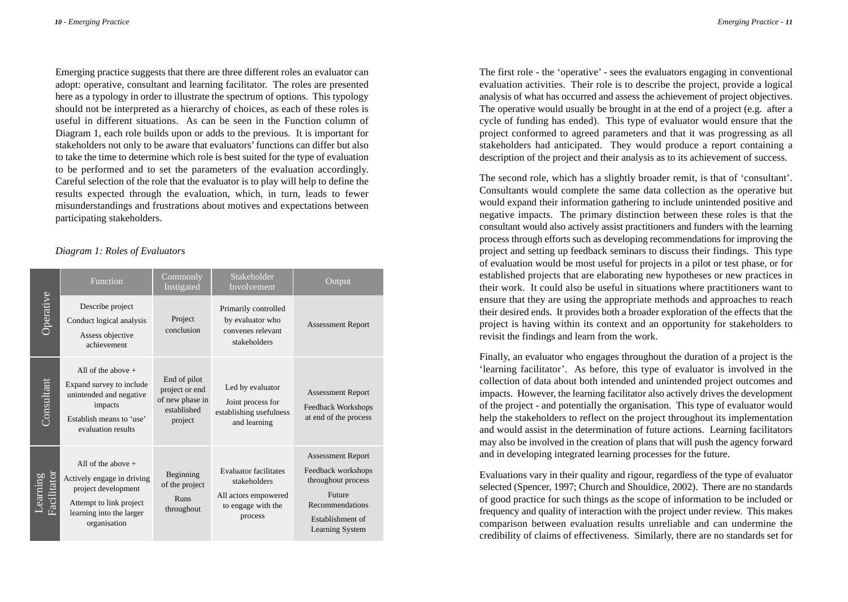Emerging practice suggests that there are three different roles an evaluator can adopt: operative, consultant and learning facilitator. The roles are presented here as a typology in order to illustrate the spectrum of options. This typology should not be interpreted as a hierarchy of choices, as each of these roles is useful in different situations. As can be seen in the Function column of Diagram 1, each role builds upon or adds to the previous. It is important for stakeholders not only to be aware that evaluators'functions can differ but also to take the time to determine which role is best suited for the type of evaluation to be performed and to set the parameters of the evaluation accordingly. Careful selection of the role that the evaluator is to play will help to define the results expected through the evaluation, which, in turn, leads to fewer misunderstandings and frustrations about motives and expectations between participating stakeholders.

#### *Diagram 1: Roles of Evaluators*

| Operative               | Function                                                                                                                                         | Commonly<br>Instigated                                                      | Stakeholder<br>Involvement                                                                            | Output                                                                                                                                   |
|-------------------------|--------------------------------------------------------------------------------------------------------------------------------------------------|-----------------------------------------------------------------------------|-------------------------------------------------------------------------------------------------------|------------------------------------------------------------------------------------------------------------------------------------------|
|                         | Describe project<br>Conduct logical analysis<br>Assess objective<br>achievement                                                                  | Project<br>conclusion                                                       | Primarily controlled<br>by evaluator who<br>convenes relevant<br>stakeholders                         | <b>Assessment Report</b>                                                                                                                 |
| Consultant              | All of the above $+$<br>Expand survey to include<br>unintended and negative<br>impacts<br>Establish means to 'use'<br>evaluation results         | End of pilot<br>project or end<br>of new phase in<br>established<br>project | Led by evaluator<br>Joint process for<br>establishing usefulness<br>and learning                      | <b>Assessment Report</b><br>Feedback Workshops<br>at end of the process                                                                  |
| Learning<br>Facilitator | All of the above $+$<br>Actively engage in driving<br>project development<br>Attempt to link project<br>learning into the larger<br>organisation | Beginning<br>of the project<br><b>Runs</b><br>throughout                    | <b>Evaluator</b> facilitates<br>stakeholders<br>All actors empowered<br>to engage with the<br>process | <b>Assessment Report</b><br>Feedback workshops<br>throughout process<br>Future<br>Recommendations<br>Establishment of<br>Learning System |

The first role - the 'operative' - sees the evaluators engaging in conventional evaluation activities. Their role is to describe the project, provide a logical analysis of what has occurred and assess the achievement of project objectives. The operative would usually be brought in at the end of a project (e.g. after a cycle of funding has ended). This type of evaluator would ensure that the project conformed to agreed parameters and that it was progressing as all stakeholders had anticipated. They would produce a report containing a description of the project and their analysis as to its achievement of success.

The second role, which has a slightly broader remit, is that of 'consultant'. Consultants would complete the same data collection as the operative but would expand their information gathering to include unintended positive and negative impacts. The primary distinction between these roles is that the consultant would also actively assist practitioners and funders with the learning process through efforts such as developing recommendations for improving the project and setting up feedback seminars to discuss their findings. This type of evaluation would be most useful for projects in a pilot or test phase, or for established projects that are elaborating new hypotheses or new practices in their work. It could also be useful in situations where practitioners want to ensure that they are using the appropriate methods and approaches to reach their desired ends. It provides both a broader exploration of the effects that the project is having within its context and an opportunity for stakeholders to revisit the findings and learn from the work.

Finally, an evaluator who engages throughout the duration of a project is the 'learning facilitator'. As before, this type of evaluator is involved in the collection of data about both intended and unintended project outcomes and impacts. However, the learning facilitator also actively drives the development of the project - and potentially the organisation. This type of evaluator would help the stakeholders to reflect on the project throughout its implementation and would assist in the determination of future actions. Learning facilitators may also be involved in the creation of plans that will push the agency forward and in developing integrated learning processes for the future.

Evaluations vary in their quality and rigour, regardless of the type of evaluator selected (Spencer, 1997; Church and Shouldice, 2002). There are no standards of good practice for such things as the scope of information to be included or frequency and quality of interaction with the project under review. This makes comparison between evaluation results unreliable and can undermine the credibility of claims of effectiveness. Similarly, there are no standards set for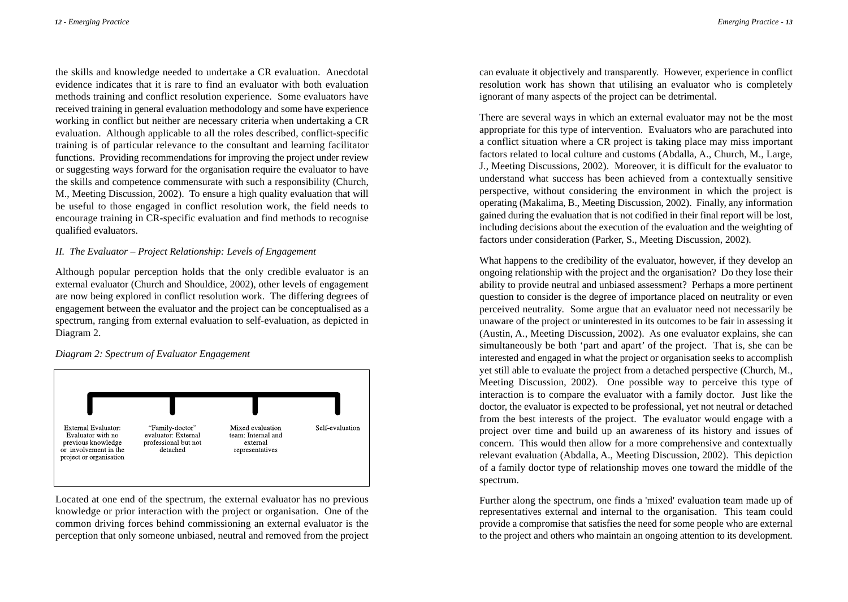the skills and knowledge needed to undertake a CR evaluation. Anecdotal evidence indicates that it is rare to find an evaluator with both evaluation methods training and conflict resolution experience. Some evaluators have received training in general evaluation methodology and some have experience working in conflict but neither are necessary criteria when undertaking a CR evaluation. Although applicable to all the roles described, conflict-specific training is of particular relevance to the consultant and learning facilitator functions. Providing recommendations for improving the project under review or suggesting ways forward for the organisation require the evaluator to have the skills and competence commensurate with such a responsibility (Church, M., Meeting Discussion, 2002). To ensure a high quality evaluation that will be useful to those engaged in conflict resolution work, the field needs to encourage training in CR-specific evaluation and find methods to recognise qualified evaluators.

### *II. The Evaluator – Project Relationship: Levels of Engagement*

Although popular perception holds that the only credible evaluator is an external evaluator (Church and Shouldice, 2002), other levels of engagement are now being explored in conflict resolution work. The differing degrees of engagement between the evaluator and the project can be conceptualised as a spectrum, ranging from external evaluation to self-evaluation, as depicted in Diagram 2.

*Diagram 2: Spectrum of Evaluator Engagement* 



Located at one end of the spectrum, the external evaluator has no previous knowledge or prior interaction with the project or organisation. One of the common driving forces behind commissioning an external evaluator is the perception that only someone unbiased, neutral and removed from the project

can evaluate it objectively and transparently. However, experience in conflict resolution work has shown that utilising an evaluator who is completely ignorant of many aspects of the project can be detrimental.

There are several ways in which an external evaluator may not be the most appropriate for this type of intervention. Evaluators who are parachuted into a conflict situation where a CR project is taking place may miss important factors related to local culture and customs (Abdalla, A., Church, M., Large, J., Meeting Discussions, 2002). Moreover, it is difficult for the evaluator to understand what success has been achieved from a contextually sensitive perspective, without considering the environment in which the project is operating (Makalima, B., Meeting Discussion, 2002). Finally, any information gained during the evaluation that is not codified in their final report will be lost, including decisions about the execution of the evaluation and the weighting of factors under consideration (Parker, S., Meeting Discussion, 2002).

What happens to the credibility of the evaluator, however, if they develop an ongoing relationship with the project and the organisation? Do they lose their ability to provide neutral and unbiased assessment? Perhaps a more pertinent question to consider is the degree of importance placed on neutrality or even perceived neutrality. Some argue that an evaluator need not necessarily be unaware of the project or uninterested in its outcomes to be fair in assessing it (Austin, A., Meeting Discussion, 2002). As one evaluator explains, she can simultaneously be both 'part and apart' of the project. That is, she can be interested and engaged in what the project or organisation seeks to accomplish yet still able to evaluate the project from a detached perspective (Church, M., Meeting Discussion, 2002). One possible way to perceive this type of interaction is to compare the evaluator with a family doctor. Just like the doctor, the evaluator is expected to be professional, yet not neutral or detached from the best interests of the project. The evaluator would engage with a project over time and build up an awareness of its history and issues of concern. This would then allow for a more comprehensive and contextually relevant evaluation (Abdalla, A., Meeting Discussion, 2002). This depiction of a family doctor type of relationship moves one toward the middle of the spectrum.

Further along the spectrum, one finds a 'mixed' evaluation team made up of representatives external and internal to the organisation. This team could provide a compromise that satisfies the need for some people who are external to the project and others who maintain an ongoing attention to its development.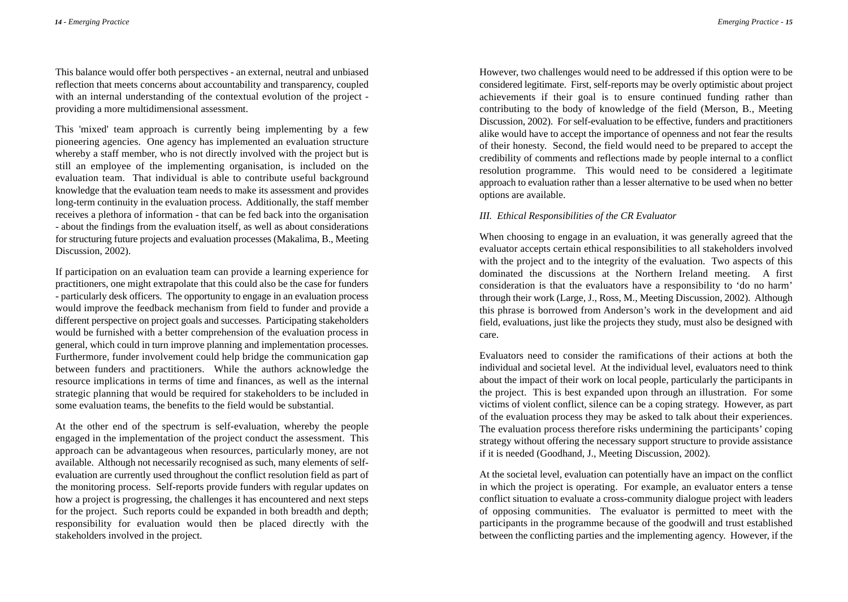This balance would offer both perspectives - an external, neutral and unbiased reflection that meets concerns about accountability and transparency, coupled with an internal understanding of the contextual evolution of the project providing a more multidimensional assessment.

This 'mixed' team approach is currently being implementing by a few pioneering agencies. One agency has implemented an evaluation structure whereby a staff member, who is not directly involved with the project but is still an employee of the implementing organisation, is included on the evaluation team. That individual is able to contribute useful background knowledge that the evaluation team needs to make its assessment and provides long-term continuity in the evaluation process. Additionally, the staff member receives a plethora of information - that can be fed back into the organisation - about the findings from the evaluation itself, as well as about considerations for structuring future projects and evaluation processes (Makalima, B., Meeting Discussion, 2002).

If participation on an evaluation team can provide a learning experience for practitioners, one might extrapolate that this could also be the case for funders - particularly desk officers. The opportunity to engage in an evaluation process would improve the feedback mechanism from field to funder and provide a different perspective on project goals and successes. Participating stakeholders would be furnished with a better comprehension of the evaluation process in general, which could in turn improve planning and implementation processes. Furthermore, funder involvement could help bridge the communication gap between funders and practitioners. While the authors acknowledge the resource implications in terms of time and finances, as well as the internal strategic planning that would be required for stakeholders to be included in some evaluation teams, the benefits to the field would be substantial.

At the other end of the spectrum is self-evaluation, whereby the people engaged in the implementation of the project conduct the assessment. This approach can be advantageous when resources, particularly money, are not available. Although not necessarily recognised as such, many elements of selfevaluation are currently used throughout the conflict resolution field as part of the monitoring process. Self-reports provide funders with regular updates on how a project is progressing, the challenges it has encountered and next steps for the project. Such reports could be expanded in both breadth and depth; responsibility for evaluation would then be placed directly with the stakeholders involved in the project.

However, two challenges would need to be addressed if this option were to be considered legitimate. First, self-reports may be overly optimistic about project achievements if their goal is to ensure continued funding rather than contributing to the body of knowledge of the field (Merson, B., Meeting Discussion, 2002). For self-evaluation to be effective, funders and practitioners alike would have to accept the importance of openness and not fear the results of their honesty. Second, the field would need to be prepared to accept the credibility of comments and reflections made by people internal to a conflict resolution programme. This would need to be considered a legitimate approach to evaluation rather than a lesser alternative to be used when no better options are available.

#### *III. Ethical Responsibilities of the CR Evaluator*

When choosing to engage in an evaluation, it was generally agreed that the evaluator accepts certain ethical responsibilities to all stakeholders involved with the project and to the integrity of the evaluation. Two aspects of this dominated the discussions at the Northern Ireland meeting. A first consideration is that the evaluators have a responsibility to 'do no harm' through their work (Large, J., Ross, M., Meeting Discussion, 2002). Although this phrase is borrowed from Anderson's work in the development and aid field, evaluations, just like the projects they study, must also be designed with care.

Evaluators need to consider the ramifications of their actions at both the individual and societal level. At the individual level, evaluators need to think about the impact of their work on local people, particularly the participants in the project. This is best expanded upon through an illustration. For some victims of violent conflict, silence can be a coping strategy. However, as part of the evaluation process they may be asked to talk about their experiences. The evaluation process therefore risks undermining the participants' coping strategy without offering the necessary support structure to provide assistance if it is needed (Goodhand, J., Meeting Discussion, 2002).

At the societal level, evaluation can potentially have an impact on the conflict in which the project is operating. For example, an evaluator enters a tense conflict situation to evaluate a cross-community dialogue project with leaders of opposing communities. The evaluator is permitted to meet with the participants in the programme because of the goodwill and trust established between the conflicting parties and the implementing agency. However, if the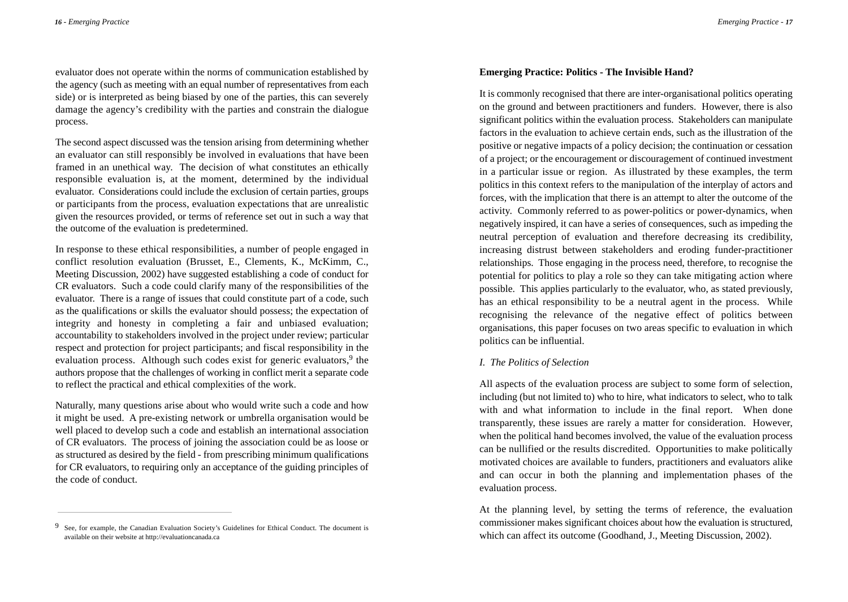evaluator does not operate within the norms of communication established by the agency (such as meeting with an equal number of representatives from each side) or is interpreted as being biased by one of the parties, this can severely damage the agency's credibility with the parties and constrain the dialogue process.

The second aspect discussed was the tension arising from determining whether an evaluator can still responsibly be involved in evaluations that have been framed in an unethical way. The decision of what constitutes an ethically responsible evaluation is, at the moment, determined by the individual evaluator. Considerations could include the exclusion of certain parties, groups or participants from the process, evaluation expectations that are unrealistic given the resources provided, or terms of reference set out in such a way that the outcome of the evaluation is predetermined.

In response to these ethical responsibilities, a number of people engaged in conflict resolution evaluation (Brusset, E., Clements, K., McKimm, C., Meeting Discussion, 2002) have suggested establishing a code of conduct for CR evaluators. Such a code could clarify many of the responsibilities of the evaluator. There is a range of issues that could constitute part of a code, such as the qualifications or skills the evaluator should possess; the expectation of integrity and honesty in completing a fair and unbiased evaluation; accountability to stakeholders involved in the project under review; particular respect and protection for project participants; and fiscal responsibility in the evaluation process. Although such codes exist for generic evaluators, $9$  the authors propose that the challenges of working in conflict merit a separate code to reflect the practical and ethical complexities of the work.

Naturally, many questions arise about who would write such a code and how it might be used. A pre-existing network or umbrella organisation would be well placed to develop such a code and establish an international association of CR evaluators. The process of joining the association could be as loose or as structured as desired by the field - from prescribing minimum qualifications for CR evaluators, to requiring only an acceptance of the guiding principles of the code of conduct.

## **Emerging Practice: Politics - The Invisible Hand?**

It is commonly recognised that there are inter-organisational politics operating on the ground and between practitioners and funders. However, there is also significant politics within the evaluation process. Stakeholders can manipulate factors in the evaluation to achieve certain ends, such as the illustration of the positive or negative impacts of a policy decision; the continuation or cessation of a project; or the encouragement or discouragement of continued investment in a particular issue or region. As illustrated by these examples, the term politics in this context refers to the manipulation of the interplay of actors and forces, with the implication that there is an attempt to alter the outcome of the activity. Commonly referred to as power-politics or power-dynamics, when negatively inspired, it can have a series of consequences, such as impeding the neutral perception of evaluation and therefore decreasing its credibility, increasing distrust between stakeholders and eroding funder-practitioner relationships. Those engaging in the process need, therefore, to recognise the potential for politics to play a role so they can take mitigating action where possible. This applies particularly to the evaluator, who, as stated previously, has an ethical responsibility to be a neutral agent in the process. While recognising the relevance of the negative effect of politics between organisations, this paper focuses on two areas specific to evaluation in which politics can be influential.

### *I. The Politics of Selection*

All aspects of the evaluation process are subject to some form of selection, including (but not limited to) who to hire, what indicators to select, who to talk with and what information to include in the final report. When done transparently, these issues are rarely a matter for consideration. However, when the political hand becomes involved, the value of the evaluation process can be nullified or the results discredited. Opportunities to make politically motivated choices are available to funders, practitioners and evaluators alike and can occur in both the planning and implementation phases of the evaluation process.

At the planning level, by setting the terms of reference, the evaluation commissioner makes significant choices about how the evaluation is structured, which can affect its outcome (Goodhand, J., Meeting Discussion, 2002).

<sup>9</sup> See, for example, the Canadian Evaluation Society's Guidelines for Ethical Conduct. The document is available on their website at http://evaluationcanada.ca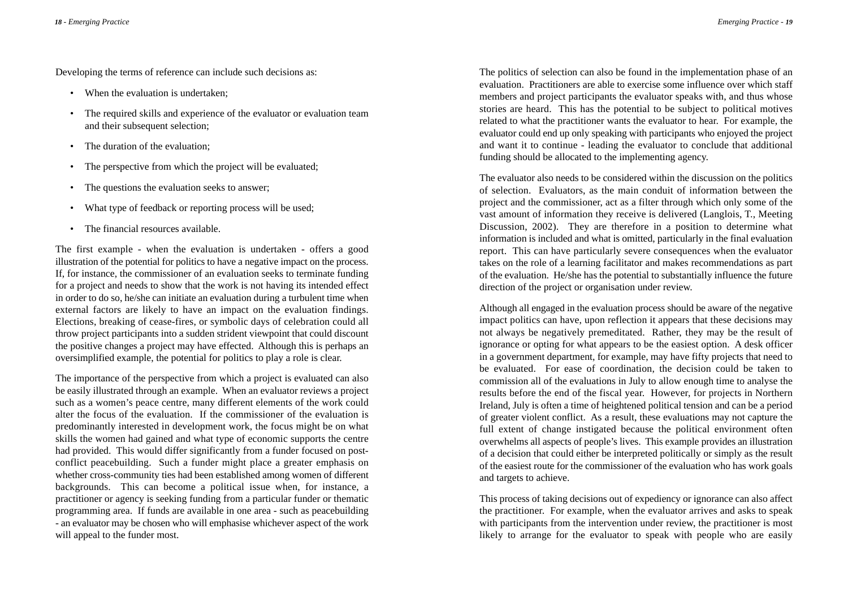Developing the terms of reference can include such decisions as:

- When the evaluation is undertaken:
- The required skills and experience of the evaluator or evaluation team and their subsequent selection;
- The duration of the evaluation:
- The perspective from which the project will be evaluated;
- The questions the evaluation seeks to answer;
- What type of feedback or reporting process will be used;
- The financial resources available.

The first example - when the evaluation is undertaken - offers a good illustration of the potential for politics to have a negative impact on the process. If, for instance, the commissioner of an evaluation seeks to terminate funding for a project and needs to show that the work is not having its intended effect in order to do so, he/she can initiate an evaluation during a turbulent time when external factors are likely to have an impact on the evaluation findings. Elections, breaking of cease-fires, or symbolic days of celebration could all throw project participants into a sudden strident viewpoint that could discount the positive changes a project may have effected. Although this is perhaps an oversimplified example, the potential for politics to play a role is clear.

The importance of the perspective from which a project is evaluated can also be easily illustrated through an example. When an evaluator reviews a project such as a women's peace centre, many different elements of the work could alter the focus of the evaluation. If the commissioner of the evaluation is predominantly interested in development work, the focus might be on what skills the women had gained and what type of economic supports the centre had provided. This would differ significantly from a funder focused on postconflict peacebuilding. Such a funder might place a greater emphasis on whether cross-community ties had been established among women of different backgrounds. This can become a political issue when, for instance, a practitioner or agency is seeking funding from a particular funder or thematic programming area. If funds are available in one area - such as peacebuilding - an evaluator may be chosen who will emphasise whichever aspect of the work will appeal to the funder most.

The politics of selection can also be found in the implementation phase of an evaluation. Practitioners are able to exercise some influence over which staff members and project participants the evaluator speaks with, and thus whose stories are heard. This has the potential to be subject to political motives related to what the practitioner wants the evaluator to hear. For example, the evaluator could end up only speaking with participants who enjoyed the project and want it to continue - leading the evaluator to conclude that additional funding should be allocated to the implementing agency.

The evaluator also needs to be considered within the discussion on the politics of selection. Evaluators, as the main conduit of information between the project and the commissioner, act as a filter through which only some of the vast amount of information they receive is delivered (Langlois, T., Meeting Discussion, 2002). They are therefore in a position to determine what information is included and what is omitted, particularly in the final evaluation report. This can have particularly severe consequences when the evaluator takes on the role of a learning facilitator and makes recommendations as part of the evaluation. He/she has the potential to substantially influence the future direction of the project or organisation under review.

Although all engaged in the evaluation process should be aware of the negative impact politics can have, upon reflection it appears that these decisions may not always be negatively premeditated. Rather, they may be the result of ignorance or opting for what appears to be the easiest option. A desk officer in a government department, for example, may have fifty projects that need to be evaluated. For ease of coordination, the decision could be taken to commission all of the evaluations in July to allow enough time to analyse the results before the end of the fiscal year. However, for projects in Northern Ireland, July is often a time of heightened political tension and can be a period of greater violent conflict. As a result, these evaluations may not capture the full extent of change instigated because the political environment often overwhelms all aspects of people's lives. This example provides an illustration of a decision that could either be interpreted politically or simply as the result of the easiest route for the commissioner of the evaluation who has work goals and targets to achieve.

This process of taking decisions out of expediency or ignorance can also affect the practitioner. For example, when the evaluator arrives and asks to speak with participants from the intervention under review, the practitioner is most likely to arrange for the evaluator to speak with people who are easily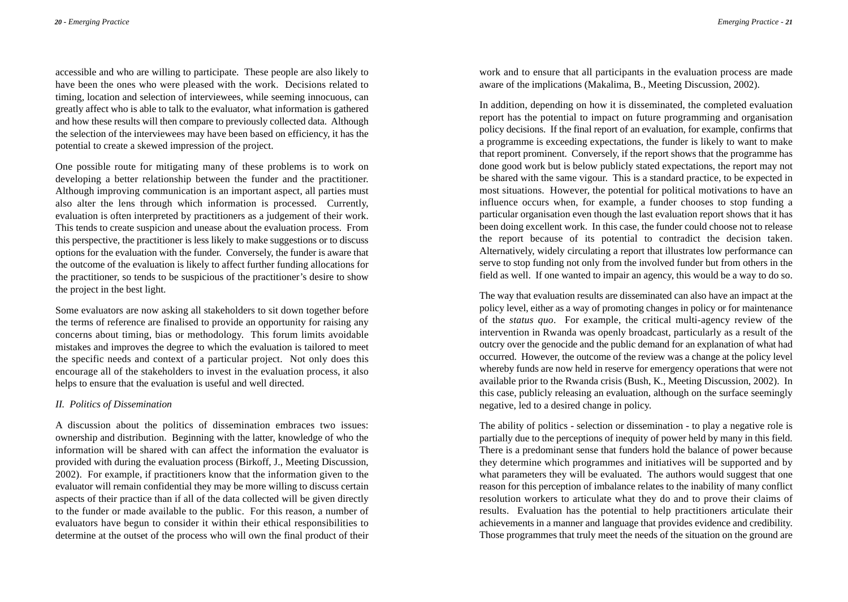accessible and who are willing to participate. These people are also likely to have been the ones who were pleased with the work. Decisions related to timing, location and selection of interviewees, while seeming innocuous, can greatly affect who is able to talk to the evaluator, what information is gathered and how these results will then compare to previously collected data. Although the selection of the interviewees may have been based on efficiency, it has the potential to create a skewed impression of the project.

One possible route for mitigating many of these problems is to work on developing a better relationship between the funder and the practitioner. Although improving communication is an important aspect, all parties must also alter the lens through which information is processed. Currently, evaluation is often interpreted by practitioners as a judgement of their work. This tends to create suspicion and unease about the evaluation process. From this perspective, the practitioner is less likely to make suggestions or to discuss options for the evaluation with the funder. Conversely, the funder is aware that the outcome of the evaluation is likely to affect further funding allocations for the practitioner, so tends to be suspicious of the practitioner's desire to show the project in the best light.

Some evaluators are now asking all stakeholders to sit down together before the terms of reference are finalised to provide an opportunity for raising any concerns about timing, bias or methodology. This forum limits avoidable mistakes and improves the degree to which the evaluation is tailored to meet the specific needs and context of a particular project. Not only does this encourage all of the stakeholders to invest in the evaluation process, it also helps to ensure that the evaluation is useful and well directed.

#### *II. Politics of Dissemination*

A discussion about the politics of dissemination embraces two issues: ownership and distribution. Beginning with the latter, knowledge of who the information will be shared with can affect the information the evaluator is provided with during the evaluation process (Birkoff, J., Meeting Discussion, 2002). For example, if practitioners know that the information given to the evaluator will remain confidential they may be more willing to discuss certain aspects of their practice than if all of the data collected will be given directly to the funder or made available to the public. For this reason, a number of evaluators have begun to consider it within their ethical responsibilities to determine at the outset of the process who will own the final product of their

work and to ensure that all participants in the evaluation process are made aware of the implications (Makalima, B., Meeting Discussion, 2002).

In addition, depending on how it is disseminated, the completed evaluation report has the potential to impact on future programming and organisation policy decisions. If the final report of an evaluation, for example, confirms that a programme is exceeding expectations, the funder is likely to want to make that report prominent. Conversely, if the report shows that the programme has done good work but is below publicly stated expectations, the report may not be shared with the same vigour. This is a standard practice, to be expected in most situations. However, the potential for political motivations to have an influence occurs when, for example, a funder chooses to stop funding a particular organisation even though the last evaluation report shows that it has been doing excellent work. In this case, the funder could choose not to release the report because of its potential to contradict the decision taken. Alternatively, widely circulating a report that illustrates low performance can serve to stop funding not only from the involved funder but from others in the field as well. If one wanted to impair an agency, this would be a way to do so.

The way that evaluation results are disseminated can also have an impact at the policy level, either as a way of promoting changes in policy or for maintenance of the *status quo*. For example, the critical multi-agency review of the intervention in Rwanda was openly broadcast, particularly as a result of the outcry over the genocide and the public demand for an explanation of what had occurred. However, the outcome of the review was a change at the policy level whereby funds are now held in reserve for emergency operations that were not available prior to the Rwanda crisis (Bush, K., Meeting Discussion, 2002). In this case, publicly releasing an evaluation, although on the surface seemingly negative, led to a desired change in policy.

The ability of politics - selection or dissemination - to play a negative role is partially due to the perceptions of inequity of power held by many in this field. There is a predominant sense that funders hold the balance of power because they determine which programmes and initiatives will be supported and by what parameters they will be evaluated. The authors would suggest that one reason for this perception of imbalance relates to the inability of many conflict resolution workers to articulate what they do and to prove their claims of results. Evaluation has the potential to help practitioners articulate their achievements in a manner and language that provides evidence and credibility. Those programmes that truly meet the needs of the situation on the ground are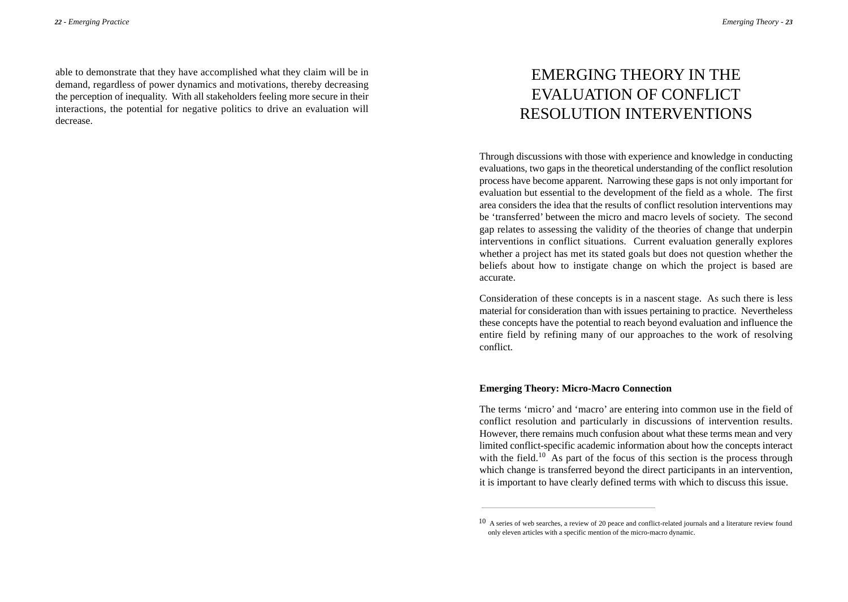*Emerging Theory* - *23*

able to demonstrate that they have accomplished what they claim will be in demand, regardless of power dynamics and motivations, thereby decreasing the perception of inequality. With all stakeholders feeling more secure in their interactions, the potential for negative politics to drive an evaluation will decrease.

# EMERGING THEORY IN THE EVALUATION OF CONFLICT RESOLUTION INTERVENTIONS

Through discussions with those with experience and knowledge in conducting evaluations, two gaps in the theoretical understanding of the conflict resolution process have become apparent. Narrowing these gaps is not only important for evaluation but essential to the development of the field as a whole. The first area considers the idea that the results of conflict resolution interventions may be 'transferred' between the micro and macro levels of society. The second gap relates to assessing the validity of the theories of change that underpin interventions in conflict situations. Current evaluation generally explores whether a project has met its stated goals but does not question whether the beliefs about how to instigate change on which the project is based are accurate.

Consideration of these concepts is in a nascent stage. As such there is less material for consideration than with issues pertaining to practice. Nevertheless these concepts have the potential to reach beyond evaluation and influence the entire field by refining many of our approaches to the work of resolving conflict.

#### **Emerging Theory: Micro-Macro Connection**

The terms 'micro' and 'macro' are entering into common use in the field of conflict resolution and particularly in discussions of intervention results. However, there remains much confusion about what these terms mean and very limited conflict-specific academic information about how the concepts interact with the field.<sup>10</sup> As part of the focus of this section is the process through which change is transferred beyond the direct participants in an intervention, it is important to have clearly defined terms with which to discuss this issue.

<sup>10</sup> A series of web searches, a review of 20 peace and conflict-related journals and a literature review found only eleven articles with a specific mention of the micro-macro dynamic.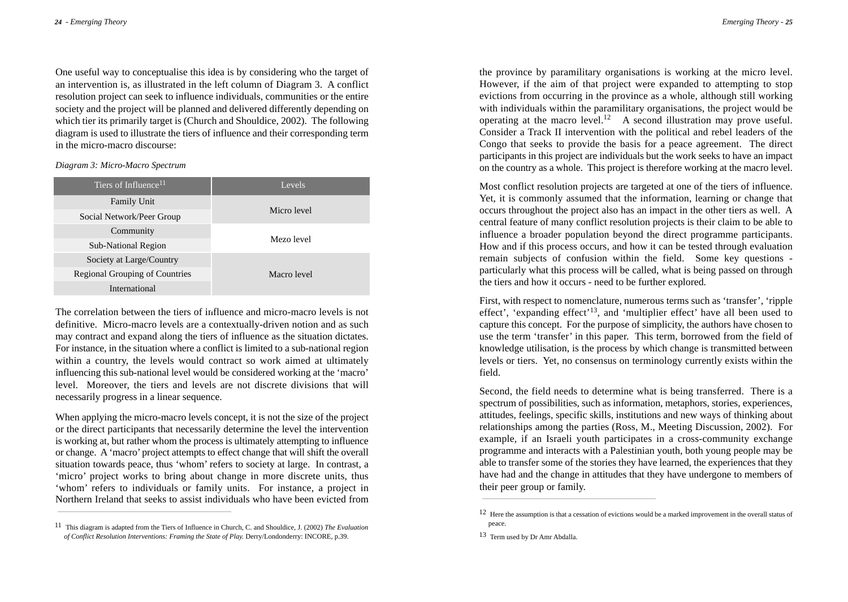One useful way to conceptualise this idea is by considering who the target of an intervention is, as illustrated in the left column of Diagram 3. A conflict resolution project can seek to influence individuals, communities or the entire society and the project will be planned and delivered differently depending on which tier its primarily target is (Church and Shouldice, 2002). The following diagram is used to illustrate the tiers of influence and their corresponding term in the micro-macro discourse:

*Diagram 3: Micro-Macro Spectrum*

| Tiers of Influence <sup>11</sup>      | Levels      |  |
|---------------------------------------|-------------|--|
| <b>Family Unit</b>                    | Micro level |  |
| Social Network/Peer Group             |             |  |
| Community                             | Mezo level  |  |
| <b>Sub-National Region</b>            |             |  |
| Society at Large/Country              | Macro level |  |
| <b>Regional Grouping of Countries</b> |             |  |
| International                         |             |  |

The correlation between the tiers of influence and micro-macro levels is not definitive. Micro-macro levels are a contextually-driven notion and as such may contract and expand along the tiers of influence as the situation dictates. For instance, in the situation where a conflict is limited to a sub-national region within a country, the levels would contract so work aimed at ultimately influencing this sub-national level would be considered working at the 'macro' level. Moreover, the tiers and levels are not discrete divisions that will necessarily progress in a linear sequence.

When applying the micro-macro levels concept, it is not the size of the project or the direct participants that necessarily determine the level the intervention is working at, but rather whom the process is ultimately attempting to influence or change. A 'macro' project attempts to effect change that will shift the overall situation towards peace, thus 'whom' refers to society at large. In contrast, a 'micro' project works to bring about change in more discrete units, thus 'whom' refers to individuals or family units. For instance, a project in Northern Ireland that seeks to assist individuals who have been evicted from

the province by paramilitary organisations is working at the micro level. However, if the aim of that project were expanded to attempting to stop evictions from occurring in the province as a whole, although still working with individuals within the paramilitary organisations, the project would be operating at the macro level.<sup>12</sup> A second illustration may prove useful. Consider a Track II intervention with the political and rebel leaders of the Congo that seeks to provide the basis for a peace agreement. The direct participants in this project are individuals but the work seeks to have an impact on the country as a whole. This project is therefore working at the macro level.

Most conflict resolution projects are targeted at one of the tiers of influence. Yet, it is commonly assumed that the information, learning or change that occurs throughout the project also has an impact in the other tiers as well. A central feature of many conflict resolution projects is their claim to be able to influence a broader population beyond the direct programme participants. How and if this process occurs, and how it can be tested through evaluation remain subjects of confusion within the field. Some key questions particularly what this process will be called, what is being passed on through the tiers and how it occurs - need to be further explored.

First, with respect to nomenclature, numerous terms such as 'transfer', 'ripple effect', 'expanding effect'<sup>13</sup>, and 'multiplier effect' have all been used to capture this concept. For the purpose of simplicity, the authors have chosen to use the term 'transfer' in this paper. This term, borrowed from the field of knowledge utilisation, is the process by which change is transmitted between levels or tiers. Yet, no consensus on terminology currently exists within the field.

Second, the field needs to determine what is being transferred. There is a spectrum of possibilities, such as information, metaphors, stories, experiences, attitudes, feelings, specific skills, institutions and new ways of thinking about relationships among the parties (Ross, M., Meeting Discussion, 2002). For example, if an Israeli youth participates in a cross-community exchange programme and interacts with a Palestinian youth, both young people may be able to transfer some of the stories they have learned, the experiences that they have had and the change in attitudes that they have undergone to members of their peer group or family.

<sup>11</sup> This diagram is adapted from the Tiers of Influence in Church, C. and Shouldice, J. (2002) *The Evaluation of Conflict Resolution Interventions: Framing the State of Play.* Derry/Londonderry: INCORE, p.39.

<sup>12</sup> Here the assumption is that a cessation of evictions would be a marked improvement in the overall status of peace.

<sup>13</sup> Term used by Dr Amr Abdalla.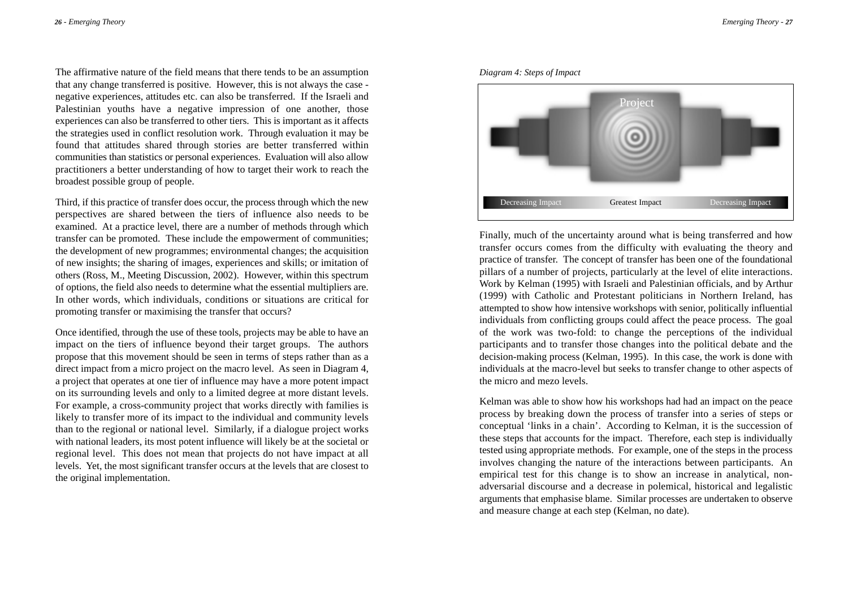The affirmative nature of the field means that there tends to be an assumption that any change transferred is positive. However, this is not always the case negative experiences, attitudes etc. can also be transferred. If the Israeli and Palestinian youths have a negative impression of one another, those experiences can also be transferred to other tiers. This is important as it affects the strategies used in conflict resolution work. Through evaluation it may be found that attitudes shared through stories are better transferred within communities than statistics or personal experiences. Evaluation will also allow practitioners a better understanding of how to target their work to reach the broadest possible group of people.

Third, if this practice of transfer does occur, the process through which the new perspectives are shared between the tiers of influence also needs to be examined. At a practice level, there are a number of methods through which transfer can be promoted. These include the empowerment of communities; the development of new programmes; environmental changes; the acquisition of new insights; the sharing of images, experiences and skills; or imitation of others (Ross, M., Meeting Discussion, 2002). However, within this spectrum of options, the field also needs to determine what the essential multipliers are. In other words, which individuals, conditions or situations are critical for promoting transfer or maximising the transfer that occurs?

Once identified, through the use of these tools, projects may be able to have an impact on the tiers of influence beyond their target groups. The authors propose that this movement should be seen in terms of steps rather than as a direct impact from a micro project on the macro level. As seen in Diagram 4, a project that operates at one tier of influence may have a more potent impact on its surrounding levels and only to a limited degree at more distant levels. For example, a cross-community project that works directly with families is likely to transfer more of its impact to the individual and community levels than to the regional or national level. Similarly, if a dialogue project works with national leaders, its most potent influence will likely be at the societal or regional level. This does not mean that projects do not have impact at all levels. Yet, the most significant transfer occurs at the levels that are closest to the original implementation.





Finally, much of the uncertainty around what is being transferred and how transfer occurs comes from the difficulty with evaluating the theory and practice of transfer. The concept of transfer has been one of the foundational pillars of a number of projects, particularly at the level of elite interactions. Work by Kelman (1995) with Israeli and Palestinian officials, and by Arthur (1999) with Catholic and Protestant politicians in Northern Ireland, has attempted to show how intensive workshops with senior, politically influential individuals from conflicting groups could affect the peace process. The goal of the work was two-fold: to change the perceptions of the individual participants and to transfer those changes into the political debate and the decision-making process (Kelman, 1995). In this case, the work is done with individuals at the macro-level but seeks to transfer change to other aspects of the micro and mezo levels.

Kelman was able to show how his workshops had had an impact on the peace process by breaking down the process of transfer into a series of steps or conceptual 'links in a chain'. According to Kelman, it is the succession of these steps that accounts for the impact. Therefore, each step is individually tested using appropriate methods. For example, one of the steps in the process involves changing the nature of the interactions between participants. An empirical test for this change is to show an increase in analytical, nonadversarial discourse and a decrease in polemical, historical and legalistic arguments that emphasise blame. Similar processes are undertaken to observe and measure change at each step (Kelman, no date).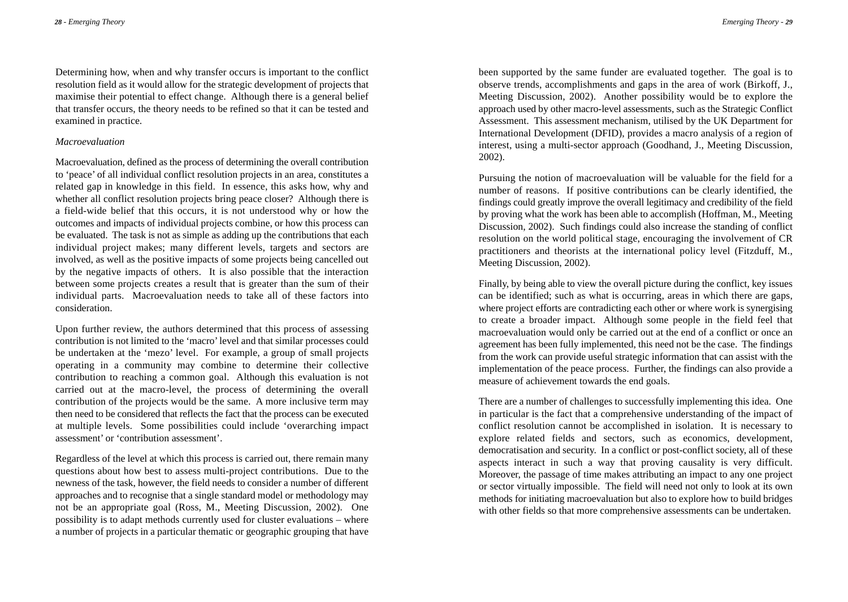Determining how, when and why transfer occurs is important to the conflict resolution field as it would allow for the strategic development of projects that maximise their potential to effect change. Although there is a general belief that transfer occurs, the theory needs to be refined so that it can be tested and examined in practice.

#### *Macroevaluation*

Macroevaluation, defined as the process of determining the overall contribution to 'peace' of all individual conflict resolution projects in an area, constitutes a related gap in knowledge in this field. In essence, this asks how, why and whether all conflict resolution projects bring peace closer? Although there is a field-wide belief that this occurs, it is not understood why or how the outcomes and impacts of individual projects combine, or how this process can be evaluated. The task is not as simple as adding up the contributions that each individual project makes; many different levels, targets and sectors are involved, as well as the positive impacts of some projects being cancelled out by the negative impacts of others. It is also possible that the interaction between some projects creates a result that is greater than the sum of their individual parts. Macroevaluation needs to take all of these factors into consideration.

Upon further review, the authors determined that this process of assessing contribution is not limited to the 'macro'level and that similar processes could be undertaken at the 'mezo' level. For example, a group of small projects operating in a community may combine to determine their collective contribution to reaching a common goal. Although this evaluation is not carried out at the macro-level, the process of determining the overall contribution of the projects would be the same. A more inclusive term may then need to be considered that reflects the fact that the process can be executed at multiple levels. Some possibilities could include 'overarching impact assessment' or 'contribution assessment'.

Regardless of the level at which this process is carried out, there remain many questions about how best to assess multi-project contributions. Due to the newness of the task, however, the field needs to consider a number of different approaches and to recognise that a single standard model or methodology may not be an appropriate goal (Ross, M., Meeting Discussion, 2002). One possibility is to adapt methods currently used for cluster evaluations – where a number of projects in a particular thematic or geographic grouping that have

been supported by the same funder are evaluated together. The goal is to observe trends, accomplishments and gaps in the area of work (Birkoff, J., Meeting Discussion, 2002). Another possibility would be to explore the approach used by other macro-level assessments, such as the Strategic Conflict Assessment. This assessment mechanism, utilised by the UK Department for International Development (DFID), provides a macro analysis of a region of interest, using a multi-sector approach (Goodhand, J., Meeting Discussion, 2002).

Pursuing the notion of macroevaluation will be valuable for the field for a number of reasons. If positive contributions can be clearly identified, the findings could greatly improve the overall legitimacy and credibility of the field by proving what the work has been able to accomplish (Hoffman, M., Meeting Discussion, 2002). Such findings could also increase the standing of conflict resolution on the world political stage, encouraging the involvement of CR practitioners and theorists at the international policy level (Fitzduff, M., Meeting Discussion, 2002).

Finally, by being able to view the overall picture during the conflict, key issues can be identified; such as what is occurring, areas in which there are gaps, where project efforts are contradicting each other or where work is synergising to create a broader impact. Although some people in the field feel that macroevaluation would only be carried out at the end of a conflict or once an agreement has been fully implemented, this need not be the case. The findings from the work can provide useful strategic information that can assist with the implementation of the peace process. Further, the findings can also provide a measure of achievement towards the end goals.

There are a number of challenges to successfully implementing this idea. One in particular is the fact that a comprehensive understanding of the impact of conflict resolution cannot be accomplished in isolation. It is necessary to explore related fields and sectors, such as economics, development, democratisation and security. In a conflict or post-conflict society, all of these aspects interact in such a way that proving causality is very difficult. Moreover, the passage of time makes attributing an impact to any one project or sector virtually impossible. The field will need not only to look at its own methods for initiating macroevaluation but also to explore how to build bridges with other fields so that more comprehensive assessments can be undertaken.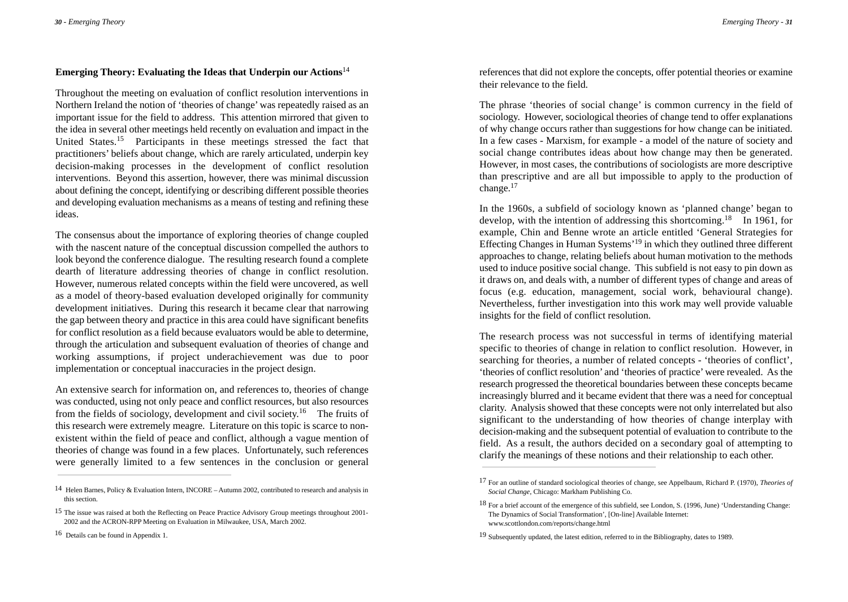### **Emerging Theory: Evaluating the Ideas that Underpin our Actions**<sup>14</sup>

Throughout the meeting on evaluation of conflict resolution interventions in Northern Ireland the notion of 'theories of change' was repeatedly raised as an important issue for the field to address. This attention mirrored that given to the idea in several other meetings held recently on evaluation and impact in the United States.<sup>15</sup> Participants in these meetings stressed the fact that practitioners' beliefs about change, which are rarely articulated, underpin key decision-making processes in the development of conflict resolution interventions. Beyond this assertion, however, there was minimal discussion about defining the concept, identifying or describing different possible theories and developing evaluation mechanisms as a means of testing and refining these ideas.

The consensus about the importance of exploring theories of change coupled with the nascent nature of the conceptual discussion compelled the authors to look beyond the conference dialogue. The resulting research found a complete dearth of literature addressing theories of change in conflict resolution. However, numerous related concepts within the field were uncovered, as well as a model of theory-based evaluation developed originally for community development initiatives. During this research it became clear that narrowing the gap between theory and practice in this area could have significant benefits for conflict resolution as a field because evaluators would be able to determine, through the articulation and subsequent evaluation of theories of change and working assumptions, if project underachievement was due to poor implementation or conceptual inaccuracies in the project design.

An extensive search for information on, and references to, theories of change was conducted, using not only peace and conflict resources, but also resources from the fields of sociology, development and civil society.<sup>16</sup> The fruits of this research were extremely meagre. Literature on this topic is scarce to nonexistent within the field of peace and conflict, although a vague mention of theories of change was found in a few places. Unfortunately, such references were generally limited to a few sentences in the conclusion or general

references that did not explore the concepts, offer potential theories or examine their relevance to the field.

The phrase 'theories of social change' is common currency in the field of sociology. However, sociological theories of change tend to offer explanations of why change occurs rather than suggestions for how change can be initiated. In a few cases - Marxism, for example - a model of the nature of society and social change contributes ideas about how change may then be generated. However, in most cases, the contributions of sociologists are more descriptive than prescriptive and are all but impossible to apply to the production of change.<sup>17</sup>

In the 1960s, a subfield of sociology known as 'planned change' began to develop, with the intention of addressing this shortcoming.<sup>18</sup> In 1961, for example, Chin and Benne wrote an article entitled 'General Strategies for Effecting Changes in Human Systems'<sup>19</sup> in which they outlined three different approaches to change, relating beliefs about human motivation to the methods used to induce positive social change. This subfield is not easy to pin down as it draws on, and deals with, a number of different types of change and areas of focus (e.g. education, management, social work, behavioural change). Nevertheless, further investigation into this work may well provide valuable insights for the field of conflict resolution.

The research process was not successful in terms of identifying material specific to theories of change in relation to conflict resolution. However, in searching for theories, a number of related concepts - 'theories of conflict', 'theories of conflict resolution' and 'theories of practice' were revealed. As the research progressed the theoretical boundaries between these concepts became increasingly blurred and it became evident that there was a need for conceptual clarity. Analysis showed that these concepts were not only interrelated but also significant to the understanding of how theories of change interplay with decision-making and the subsequent potential of evaluation to contribute to the field. As a result, the authors decided on a secondary goal of attempting to clarify the meanings of these notions and their relationship to each other.

<sup>14</sup> Helen Barnes, Policy & Evaluation Intern, INCORE – Autumn 2002, contributed to research and analysis in this section.

<sup>15</sup> The issue was raised at both the Reflecting on Peace Practice Advisory Group meetings throughout 2001- 2002 and the ACRON-RPP Meeting on Evaluation in Milwaukee, USA, March 2002.

<sup>16</sup> Details can be found in Appendix 1.

<sup>17</sup> For an outline of standard sociological theories of change, see Appelbaum, Richard P. (1970), *Theories of Social Change*, Chicago: Markham Publishing Co.

<sup>18</sup> For a brief account of the emergence of this subfield, see London, S. (1996, June) 'Understanding Change: The Dynamics of Social Transformation', [On-line] Available Internet: www.scottlondon.com/reports/change.html

<sup>19</sup> Subsequently updated, the latest edition, referred to in the Bibliography, dates to 1989.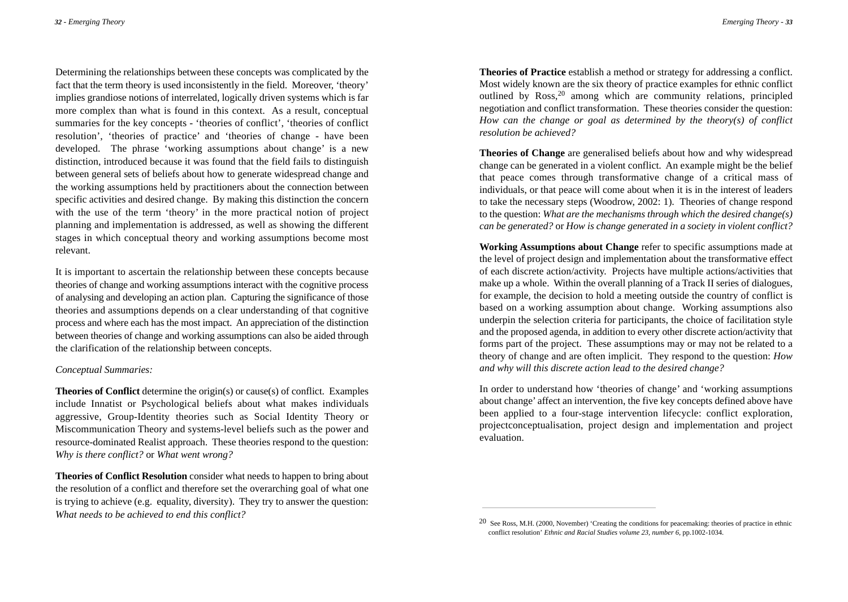*Emerging Theory* - *33*

Determining the relationships between these concepts was complicated by the fact that the term theory is used inconsistently in the field. Moreover, 'theory' implies grandiose notions of interrelated, logically driven systems which is far more complex than what is found in this context. As a result, conceptual summaries for the key concepts - 'theories of conflict', 'theories of conflict resolution', 'theories of practice' and 'theories of change - have been developed. The phrase 'working assumptions about change' is a new distinction, introduced because it was found that the field fails to distinguish between general sets of beliefs about how to generate widespread change and the working assumptions held by practitioners about the connection between specific activities and desired change. By making this distinction the concern with the use of the term 'theory' in the more practical notion of project planning and implementation is addressed, as well as showing the different stages in which conceptual theory and working assumptions become most relevant.

It is important to ascertain the relationship between these concepts because theories of change and working assumptions interact with the cognitive process of analysing and developing an action plan. Capturing the significance of those theories and assumptions depends on a clear understanding of that cognitive process and where each has the most impact. An appreciation of the distinction between theories of change and working assumptions can also be aided through the clarification of the relationship between concepts.

#### *Conceptual Summaries:*

**Theories of Conflict** determine the origin(s) or cause(s) of conflict. Examples include Innatist or Psychological beliefs about what makes individuals aggressive, Group-Identity theories such as Social Identity Theory or Miscommunication Theory and systems-level beliefs such as the power and resource-dominated Realist approach. These theories respond to the question: *Why is there conflict?* or *What went wrong?*

**Theories of Conflict Resolution** consider what needs to happen to bring about the resolution of a conflict and therefore set the overarching goal of what one is trying to achieve (e.g. equality, diversity). They try to answer the question: *What needs to be achieved to end this conflict?* 

**Theories of Practice** establish a method or strategy for addressing a conflict. Most widely known are the six theory of practice examples for ethnic conflict outlined by Ross,<sup>20</sup> among which are community relations, principled negotiation and conflict transformation. These theories consider the question: *How can the change or goal as determined by the theory(s) of conflict resolution be achieved?*

**Theories of Change** are generalised beliefs about how and why widespread change can be generated in a violent conflict. An example might be the belief that peace comes through transformative change of a critical mass of individuals, or that peace will come about when it is in the interest of leaders to take the necessary steps (Woodrow, 2002: 1). Theories of change respond to the question: *What are the mechanisms through which the desired change(s) can be generated?* or *How is change generated in a society in violent conflict?*

**Working Assumptions about Change** refer to specific assumptions made at the level of project design and implementation about the transformative effect of each discrete action/activity. Projects have multiple actions/activities that make up a whole. Within the overall planning of a Track II series of dialogues, for example, the decision to hold a meeting outside the country of conflict is based on a working assumption about change. Working assumptions also underpin the selection criteria for participants, the choice of facilitation style and the proposed agenda, in addition to every other discrete action/activity that forms part of the project. These assumptions may or may not be related to a theory of change and are often implicit. They respond to the question: *How and why will this discrete action lead to the desired change?*

In order to understand how 'theories of change' and 'working assumptions about change' affect an intervention, the five key concepts defined above have been applied to a four-stage intervention lifecycle: conflict exploration, projectconceptualisation, project design and implementation and project evaluation.

<sup>20</sup> See Ross, M.H. (2000, November) 'Creating the conditions for peacemaking: theories of practice in ethnic conflict resolution' *Ethnic and Racial Studies volume 23, number 6*, pp.1002-1034.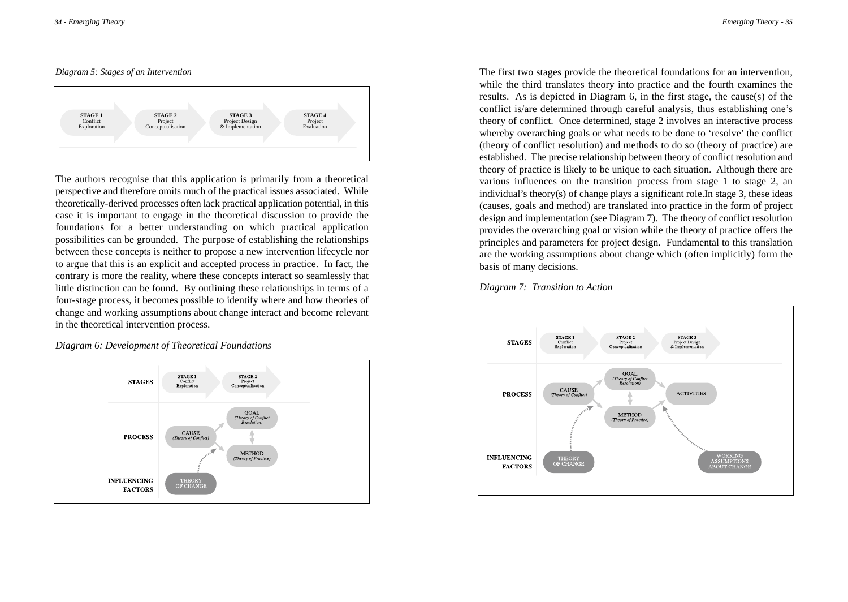#### *Diagram 5: Stages of an Intervention*



The authors recognise that this application is primarily from a theoretical perspective and therefore omits much of the practical issues associated. While theoretically-derived processes often lack practical application potential, in this case it is important to engage in the theoretical discussion to provide the foundations for a better understanding on which practical application possibilities can be grounded. The purpose of establishing the relationships between these concepts is neither to propose a new intervention lifecycle nor to argue that this is an explicit and accepted process in practice. In fact, the contrary is more the reality, where these concepts interact so seamlessly that little distinction can be found. By outlining these relationships in terms of a four-stage process, it becomes possible to identify where and how theories of change and working assumptions about change interact and become relevant in the theoretical intervention process.

*Diagram 6: Development of Theoretical Foundations*



The first two stages provide the theoretical foundations for an intervention, while the third translates theory into practice and the fourth examines the results. As is depicted in Diagram 6, in the first stage, the cause(s) of the conflict is/are determined through careful analysis, thus establishing one's theory of conflict. Once determined, stage 2 involves an interactive process whereby overarching goals or what needs to be done to 'resolve' the conflict (theory of conflict resolution) and methods to do so (theory of practice) are established. The precise relationship between theory of conflict resolution and theory of practice is likely to be unique to each situation. Although there are various influences on the transition process from stage 1 to stage 2, an individual's theory(s) of change plays a significant role.In stage 3, these ideas (causes, goals and method) are translated into practice in the form of project design and implementation (see Diagram 7). The theory of conflict resolution provides the overarching goal or vision while the theory of practice offers the principles and parameters for project design. Fundamental to this translation are the working assumptions about change which (often implicitly) form the basis of many decisions.



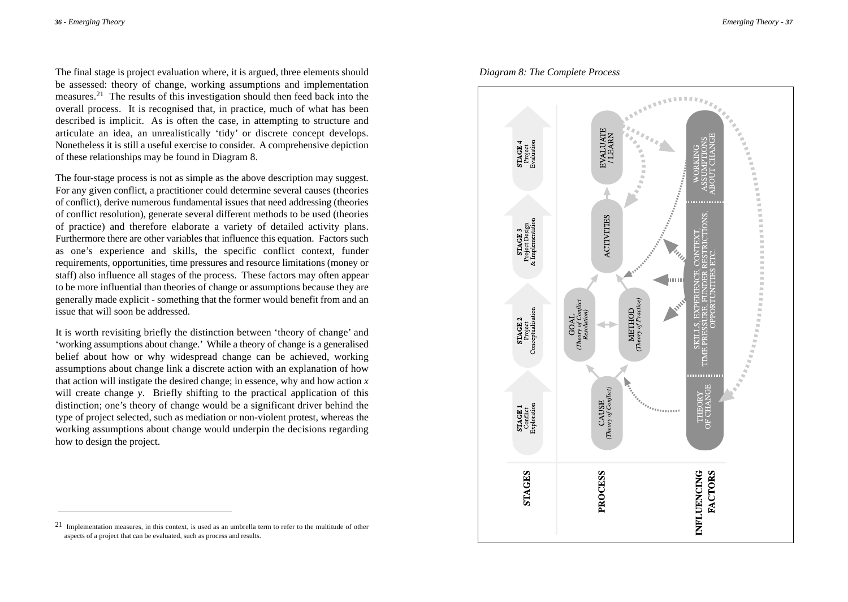The final stage is project evaluation where, it is argued, three elements should be assessed: theory of change, working assumptions and implementation measures.21 The results of this investigation should then feed back into the overall process. It is recognised that, in practice, much of what has been described is implicit. As is often the case, in attempting to structure and articulate an idea, an unrealistically 'tidy' or discrete concept develops. Nonetheless it is still a useful exercise to consider. A comprehensive depiction of these relationships may be found in Diagram 8.

The four-stage process is not as simple as the above description may suggest. For any given conflict, a practitioner could determine several causes (theories of conflict), derive numerous fundamental issues that need addressing (theories of conflict resolution), generate several different methods to be used (theories of practice) and therefore elaborate a variety of detailed activity plans. Furthermore there are other variables that influence this equation. Factors such as one's experience and skills, the specific conflict context, funder requirements, opportunities, time pressures and resource limitations (money or staff) also influence all stages of the process. These factors may often appear to be more influential than theories of change or assumptions because they are generally made explicit - something that the former would benefit from and an issue that will soon be addressed.

It is worth revisiting briefly the distinction between 'theory of change' and 'working assumptions about change.' While a theory of change is a generalised belief about how or why widespread change can be achieved, working assumptions about change link a discrete action with an explanation of how that action will instigate the desired change; in essence, why and how action *x* will create change *y*. Briefly shifting to the practical application of this distinction; one's theory of change would be a significant driver behind the type of project selected, such as mediation or non-violent protest, whereas the working assumptions about change would underpin the decisions regarding how to design the project.

### *Diagram 8: The Complete Process*



 $21$  Implementation measures, in this context, is used as an umbrella term to refer to the multitude of other aspects of a project that can be evaluated, such as process and results.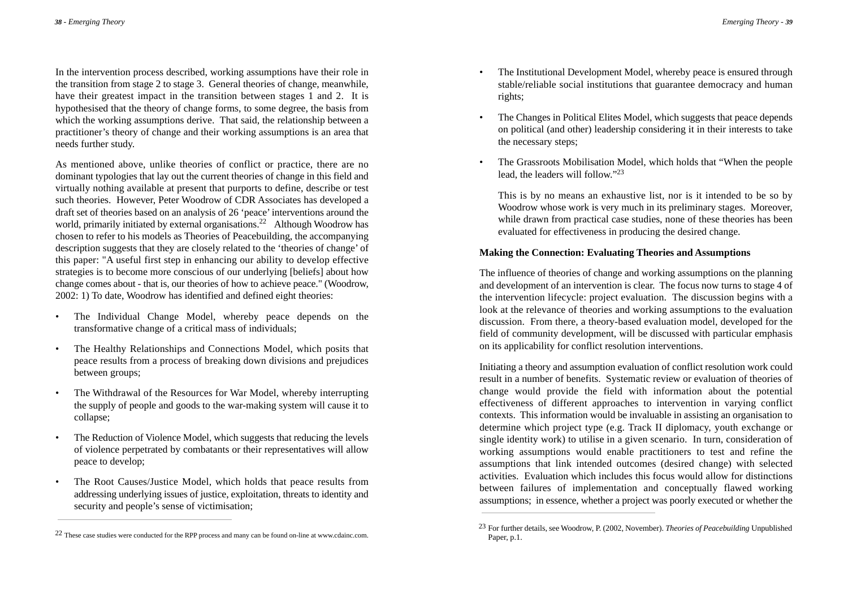In the intervention process described, working assumptions have their role in the transition from stage 2 to stage 3. General theories of change, meanwhile, have their greatest impact in the transition between stages 1 and 2. It is hypothesised that the theory of change forms, to some degree, the basis from which the working assumptions derive. That said, the relationship between a practitioner's theory of change and their working assumptions is an area that needs further study.

As mentioned above, unlike theories of conflict or practice, there are no dominant typologies that lay out the current theories of change in this field and virtually nothing available at present that purports to define, describe or test such theories. However, Peter Woodrow of CDR Associates has developed a draft set of theories based on an analysis of 26 'peace'interventions around the world, primarily initiated by external organisations.<sup>22</sup> Although Woodrow has chosen to refer to his models as Theories of Peacebuilding, the accompanying description suggests that they are closely related to the 'theories of change' of this paper: "A useful first step in enhancing our ability to develop effective strategies is to become more conscious of our underlying [beliefs] about how change comes about - that is, our theories of how to achieve peace." (Woodrow, 2002: 1) To date, Woodrow has identified and defined eight theories:

- The Individual Change Model, whereby peace depends on the transformative change of a critical mass of individuals;
- The Healthy Relationships and Connections Model, which posits that peace results from a process of breaking down divisions and prejudices between groups;
- The Withdrawal of the Resources for War Model, whereby interrupting the supply of people and goods to the war-making system will cause it to collapse;
- The Reduction of Violence Model, which suggests that reducing the levels of violence perpetrated by combatants or their representatives will allow peace to develop;
- The Root Causes/Justice Model, which holds that peace results from addressing underlying issues of justice, exploitation, threats to identity and security and people's sense of victimisation;
- The Institutional Development Model, whereby peace is ensured through stable/reliable social institutions that guarantee democracy and human rights;
- The Changes in Political Elites Model, which suggests that peace depends on political (and other) leadership considering it in their interests to take the necessary steps;
- The Grassroots Mobilisation Model, which holds that "When the people lead, the leaders will follow."23

This is by no means an exhaustive list, nor is it intended to be so by Woodrow whose work is very much in its preliminary stages. Moreover, while drawn from practical case studies, none of these theories has been evaluated for effectiveness in producing the desired change.

### **Making the Connection: Evaluating Theories and Assumptions**

The influence of theories of change and working assumptions on the planning and development of an intervention is clear. The focus now turns to stage 4 of the intervention lifecycle: project evaluation. The discussion begins with a look at the relevance of theories and working assumptions to the evaluation discussion. From there, a theory-based evaluation model, developed for the field of community development, will be discussed with particular emphasis on its applicability for conflict resolution interventions.

Initiating a theory and assumption evaluation of conflict resolution work could result in a number of benefits. Systematic review or evaluation of theories of change would provide the field with information about the potential effectiveness of different approaches to intervention in varying conflict contexts. This information would be invaluable in assisting an organisation to determine which project type (e.g. Track II diplomacy, youth exchange or single identity work) to utilise in a given scenario. In turn, consideration of working assumptions would enable practitioners to test and refine the assumptions that link intended outcomes (desired change) with selected activities. Evaluation which includes this focus would allow for distinctions between failures of implementation and conceptually flawed working assumptions; in essence, whether a project was poorly executed or whether the

<sup>&</sup>lt;sup>22</sup> These case studies were conducted for the RPP process and many can be found on-line at www.cdainc.com.

<sup>23</sup> For further details, see Woodrow, P. (2002, November). *Theories of Peacebuilding* Unpublished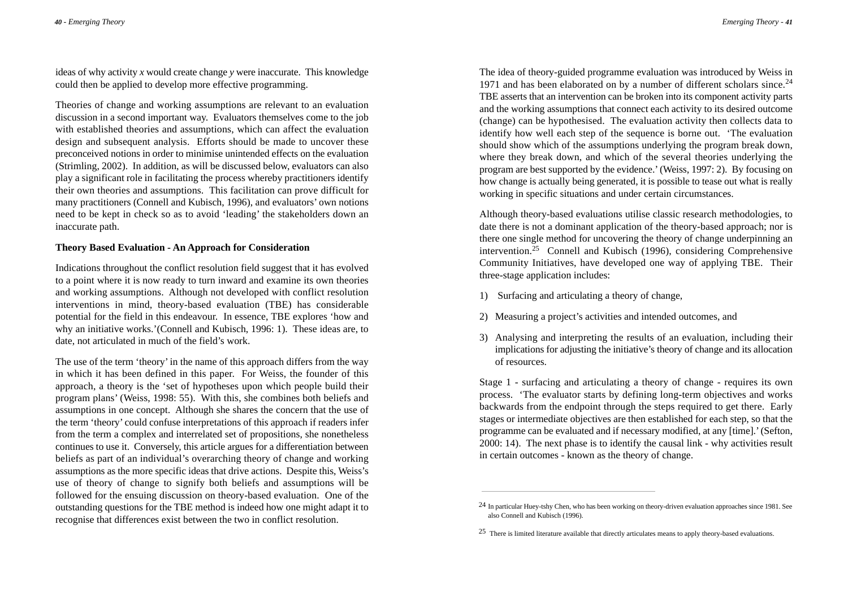ideas of why activity *x* would create change *y* were inaccurate. This knowledge could then be applied to develop more effective programming.

Theories of change and working assumptions are relevant to an evaluation discussion in a second important way. Evaluators themselves come to the job with established theories and assumptions, which can affect the evaluation design and subsequent analysis. Efforts should be made to uncover these preconceived notions in order to minimise unintended effects on the evaluation (Strimling, 2002). In addition, as will be discussed below, evaluators can also play a significant role in facilitating the process whereby practitioners identify their own theories and assumptions. This facilitation can prove difficult for many practitioners (Connell and Kubisch, 1996), and evaluators' own notions need to be kept in check so as to avoid 'leading' the stakeholders down an inaccurate path.

### **Theory Based Evaluation - An Approach for Consideration**

Indications throughout the conflict resolution field suggest that it has evolved to a point where it is now ready to turn inward and examine its own theories and working assumptions. Although not developed with conflict resolution interventions in mind, theory-based evaluation (TBE) has considerable potential for the field in this endeavour. In essence, TBE explores 'how and why an initiative works.'(Connell and Kubisch, 1996: 1). These ideas are, to date, not articulated in much of the field's work.

The use of the term 'theory'in the name of this approach differs from the way in which it has been defined in this paper. For Weiss, the founder of this approach, a theory is the 'set of hypotheses upon which people build their program plans' (Weiss, 1998: 55). With this, she combines both beliefs and assumptions in one concept. Although she shares the concern that the use of the term 'theory' could confuse interpretations of this approach if readers infer from the term a complex and interrelated set of propositions, she nonetheless continues to use it. Conversely, this article argues for a differentiation between beliefs as part of an individual's overarching theory of change and working assumptions as the more specific ideas that drive actions. Despite this, Weiss's use of theory of change to signify both beliefs and assumptions will be followed for the ensuing discussion on theory-based evaluation. One of the outstanding questions for the TBE method is indeed how one might adapt it to recognise that differences exist between the two in conflict resolution.

The idea of theory-guided programme evaluation was introduced by Weiss in 1971 and has been elaborated on by a number of different scholars since.<sup>24</sup> TBE asserts that an intervention can be broken into its component activity parts and the working assumptions that connect each activity to its desired outcome (change) can be hypothesised. The evaluation activity then collects data to identify how well each step of the sequence is borne out. 'The evaluation should show which of the assumptions underlying the program break down, where they break down, and which of the several theories underlying the program are best supported by the evidence.'(Weiss, 1997: 2). By focusing on how change is actually being generated, it is possible to tease out what is really working in specific situations and under certain circumstances.

Although theory-based evaluations utilise classic research methodologies, to date there is not a dominant application of the theory-based approach; nor is there one single method for uncovering the theory of change underpinning an intervention.<sup>25</sup> Connell and Kubisch (1996), considering Comprehensive Community Initiatives, have developed one way of applying TBE. Their three-stage application includes:

- 1) Surfacing and articulating a theory of change,
- 2) Measuring a project's activities and intended outcomes, and
- 3) Analysing and interpreting the results of an evaluation, including their implications for adjusting the initiative's theory of change and its allocation of resources.

Stage 1 - surfacing and articulating a theory of change - requires its own process. 'The evaluator starts by defining long-term objectives and works backwards from the endpoint through the steps required to get there. Early stages or intermediate objectives are then established for each step, so that the programme can be evaluated and if necessary modified, at any [time].'(Sefton, 2000: 14). The next phase is to identify the causal link - why activities result in certain outcomes - known as the theory of change.

<sup>24</sup> In particular Huey-tshy Chen, who has been working on theory-driven evaluation approaches since 1981. See also Connell and Kubisch (1996).

<sup>&</sup>lt;sup>25</sup> There is limited literature available that directly articulates means to apply theory-based evaluations.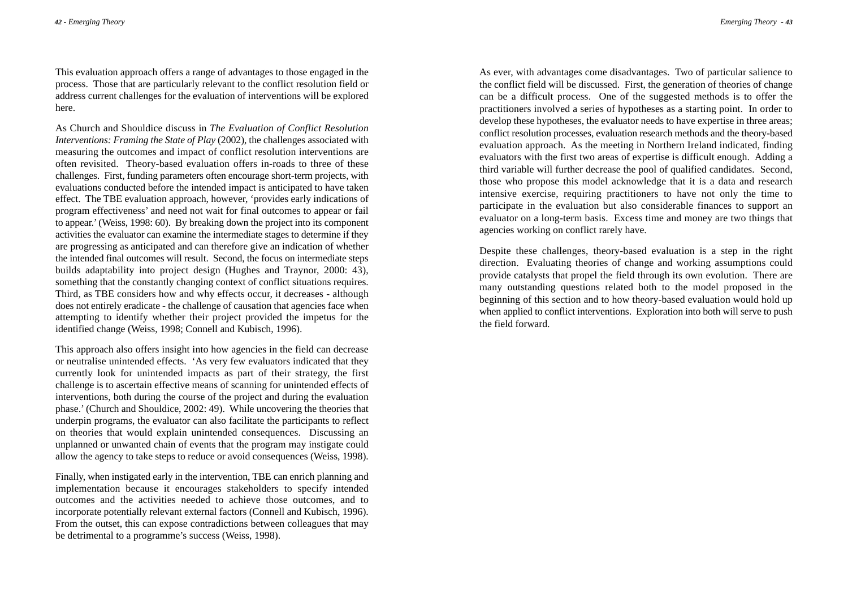This evaluation approach offers a range of advantages to those engaged in the process. Those that are particularly relevant to the conflict resolution field or address current challenges for the evaluation of interventions will be explored here.

As Church and Shouldice discuss in *The Evaluation of Conflict Resolution Interventions: Framing the State of Play (2002)*, the challenges associated with measuring the outcomes and impact of conflict resolution interventions are often revisited. Theory-based evaluation offers in-roads to three of these challenges. First, funding parameters often encourage short-term projects, with evaluations conducted before the intended impact is anticipated to have taken effect. The TBE evaluation approach, however, 'provides early indications of program effectiveness' and need not wait for final outcomes to appear or fail to appear.'(Weiss, 1998: 60). By breaking down the project into its component activities the evaluator can examine the intermediate stages to determine if they are progressing as anticipated and can therefore give an indication of whether the intended final outcomes will result. Second, the focus on intermediate steps builds adaptability into project design (Hughes and Traynor, 2000: 43), something that the constantly changing context of conflict situations requires. Third, as TBE considers how and why effects occur, it decreases - although does not entirely eradicate - the challenge of causation that agencies face when attempting to identify whether their project provided the impetus for the identified change (Weiss, 1998; Connell and Kubisch, 1996).

This approach also offers insight into how agencies in the field can decrease or neutralise unintended effects. 'As very few evaluators indicated that they currently look for unintended impacts as part of their strategy, the first challenge is to ascertain effective means of scanning for unintended effects of interventions, both during the course of the project and during the evaluation phase.'(Church and Shouldice, 2002: 49). While uncovering the theories that underpin programs, the evaluator can also facilitate the participants to reflect on theories that would explain unintended consequences. Discussing an unplanned or unwanted chain of events that the program may instigate could allow the agency to take steps to reduce or avoid consequences (Weiss, 1998).

Finally, when instigated early in the intervention, TBE can enrich planning and implementation because it encourages stakeholders to specify intended outcomes and the activities needed to achieve those outcomes, and to incorporate potentially relevant external factors (Connell and Kubisch, 1996). From the outset, this can expose contradictions between colleagues that may be detrimental to a programme's success (Weiss, 1998).

As ever, with advantages come disadvantages. Two of particular salience to the conflict field will be discussed. First, the generation of theories of change can be a difficult process. One of the suggested methods is to offer the practitioners involved a series of hypotheses as a starting point. In order to develop these hypotheses, the evaluator needs to have expertise in three areas; conflict resolution processes, evaluation research methods and the theory-based evaluation approach. As the meeting in Northern Ireland indicated, finding evaluators with the first two areas of expertise is difficult enough. Adding a third variable will further decrease the pool of qualified candidates. Second, those who propose this model acknowledge that it is a data and research intensive exercise, requiring practitioners to have not only the time to participate in the evaluation but also considerable finances to support an evaluator on a long-term basis. Excess time and money are two things that agencies working on conflict rarely have.

Despite these challenges, theory-based evaluation is a step in the right direction. Evaluating theories of change and working assumptions could provide catalysts that propel the field through its own evolution. There are many outstanding questions related both to the model proposed in the beginning of this section and to how theory-based evaluation would hold up when applied to conflict interventions. Exploration into both will serve to push the field forward.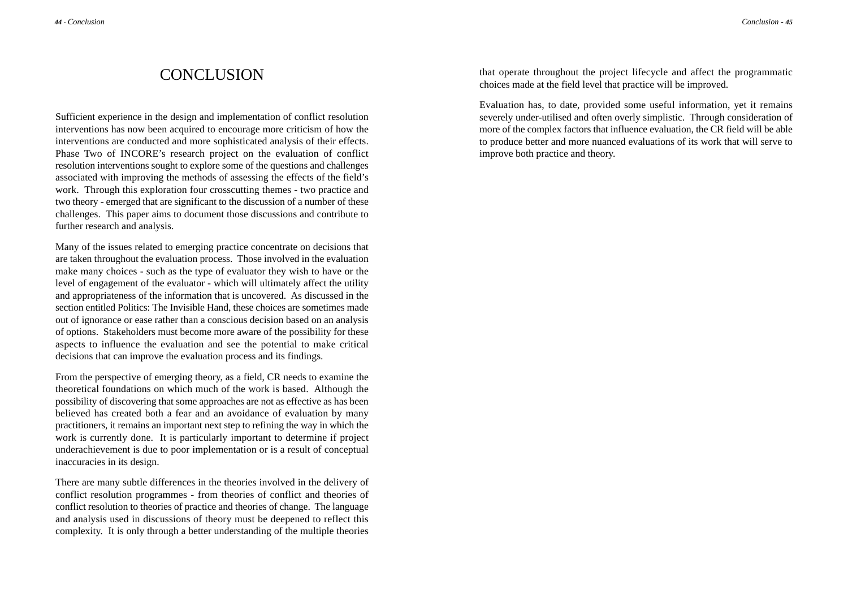## CONCLUSION

Sufficient experience in the design and implementation of conflict resolution interventions has now been acquired to encourage more criticism of how the interventions are conducted and more sophisticated analysis of their effects. Phase Two of INCORE's research project on the evaluation of conflict resolution interventions sought to explore some of the questions and challenges associated with improving the methods of assessing the effects of the field's work. Through this exploration four crosscutting themes - two practice and two theory - emerged that are significant to the discussion of a number of these challenges. This paper aims to document those discussions and contribute to further research and analysis.

Many of the issues related to emerging practice concentrate on decisions that are taken throughout the evaluation process. Those involved in the evaluation make many choices - such as the type of evaluator they wish to have or the level of engagement of the evaluator - which will ultimately affect the utility and appropriateness of the information that is uncovered. As discussed in the section entitled Politics: The Invisible Hand, these choices are sometimes made out of ignorance or ease rather than a conscious decision based on an analysis of options. Stakeholders must become more aware of the possibility for these aspects to influence the evaluation and see the potential to make critical decisions that can improve the evaluation process and its findings.

From the perspective of emerging theory, as a field, CR needs to examine the theoretical foundations on which much of the work is based. Although the possibility of discovering that some approaches are not as effective as has been believed has created both a fear and an avoidance of evaluation by many practitioners, it remains an important next step to refining the way in which the work is currently done. It is particularly important to determine if project underachievement is due to poor implementation or is a result of conceptual inaccuracies in its design.

There are many subtle differences in the theories involved in the delivery of conflict resolution programmes - from theories of conflict and theories of conflict resolution to theories of practice and theories of change. The language and analysis used in discussions of theory must be deepened to reflect this complexity. It is only through a better understanding of the multiple theories that operate throughout the project lifecycle and affect the programmatic choices made at the field level that practice will be improved.

Evaluation has, to date, provided some useful information, yet it remains severely under-utilised and often overly simplistic. Through consideration of more of the complex factors that influence evaluation, the CR field will be able to produce better and more nuanced evaluations of its work that will serve to improve both practice and theory.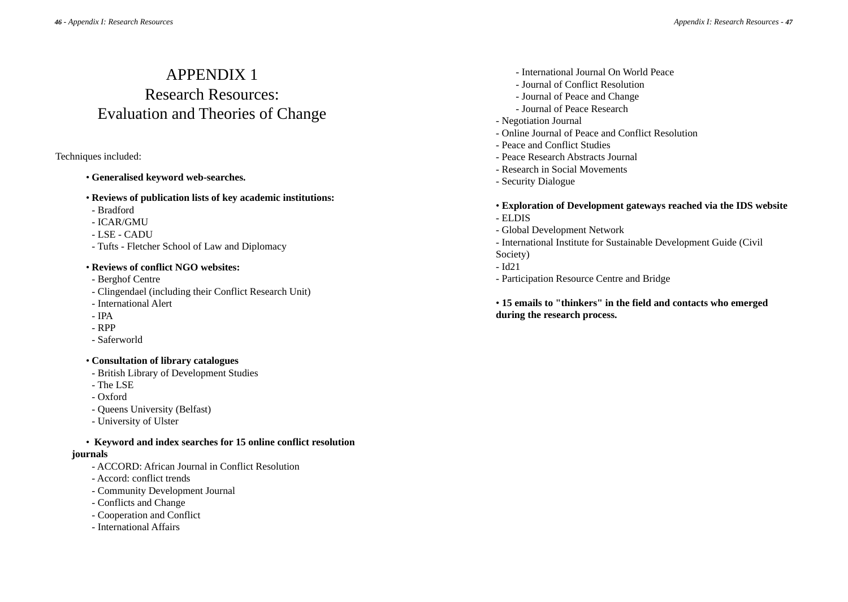# APPENDIX 1 Research Resources: Evaluation and Theories of Change

### Techniques included:

- **Generalised keyword web-searches.**
- **Reviews of publication lists of key academic institutions:**
- Bradford
- ICAR/GMU
- LSE CADU
- Tufts Fletcher School of Law and Diplomacy

### • **Reviews of conflict NGO websites:**

- Berghof Centre
- Clingendael (including their Conflict Research Unit)
- International Alert
- IPA
- RPP
- Saferworld

## • **Consultation of library catalogues**

- British Library of Development Studies
- The LSE
- Oxford
- Queens University (Belfast)
- University of Ulster

• **Keyword and index searches for 15 online conflict resolution**

## **journals**

- ACCORD: African Journal in Conflict Resolution
- Accord: conflict trends
- Community Development Journal
- Conflicts and Change
- Cooperation and Conflict
- International Affairs
- International Journal On World Peace
- Journal of Conflict Resolution
- Journal of Peace and Change
- Journal of Peace Research

## - Negotiation Journal

- Online Journal of Peace and Conflict Resolution
- Peace and Conflict Studies
- Peace Research Abstracts Journal
- Research in Social Movements
- Security Dialogue
- **Exploration of Development gateways reached via the IDS website**
- ELDIS
- Global Development Network
- International Institute for Sustainable Development Guide (Civil Society)
- Id21
- Participation Resource Centre and Bridge

• **15 emails to "thinkers" in the field and contacts who emerged during the research process.**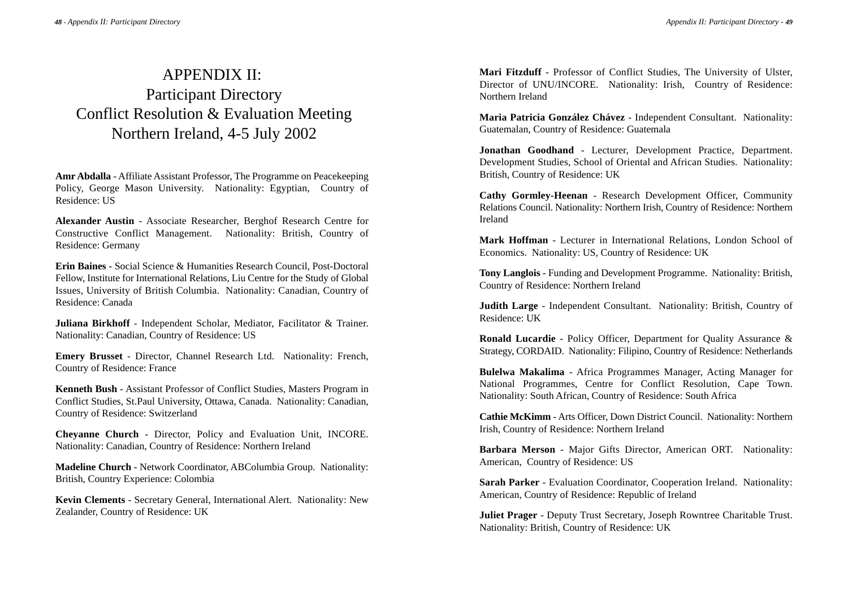# APPENDIX II: Participant Directory Conflict Resolution & Evaluation Meeting Northern Ireland, 4-5 July 2002

**Amr Abdalla** - Affiliate Assistant Professor, The Programme on Peacekeeping Policy, George Mason University. Nationality: Egyptian, Country of Residence: US

**Alexander Austin** - Associate Researcher, Berghof Research Centre for Constructive Conflict Management. Nationality: British, Country of Residence: Germany

**Erin Baines** - Social Science & Humanities Research Council, Post-Doctoral Fellow, Institute for International Relations, Liu Centre for the Study of Global Issues, University of British Columbia. Nationality: Canadian, Country of Residence: Canada

**Juliana Birkhoff** - Independent Scholar, Mediator, Facilitator & Trainer. Nationality: Canadian, Country of Residence: US

**Emery Brusset** - Director, Channel Research Ltd. Nationality: French, Country of Residence: France

**Kenneth Bush** - Assistant Professor of Conflict Studies, Masters Program in Conflict Studies, St.Paul University, Ottawa, Canada. Nationality: Canadian, Country of Residence: Switzerland

**Cheyanne Church** - Director, Policy and Evaluation Unit, INCORE. Nationality: Canadian, Country of Residence: Northern Ireland

**Madeline Church** - Network Coordinator, ABColumbia Group. Nationality: British, Country Experience: Colombia

**Kevin Clements** - Secretary General, International Alert. Nationality: New Zealander, Country of Residence: UK

**Mari Fitzduff** - Professor of Conflict Studies, The University of Ulster, Director of UNU/INCORE. Nationality: Irish, Country of Residence: Northern Ireland

**Maria Patricia González Chávez** - Independent Consultant. Nationality: Guatemalan, Country of Residence: Guatemala

**Jonathan Goodhand** - Lecturer, Development Practice, Department. Development Studies, School of Oriental and African Studies. Nationality: British, Country of Residence: UK

**Cathy Gormley-Heenan** - Research Development Officer, Community Relations Council. Nationality: Northern Irish, Country of Residence: Northern Ireland

**Mark Hoffman** - Lecturer in International Relations, London School of Economics. Nationality: US, Country of Residence: UK

**Tony Langlois** - Funding and Development Programme. Nationality: British, Country of Residence: Northern Ireland

**Judith Large** - Independent Consultant. Nationality: British, Country of Residence: UK

**Ronald Lucardie** - Policy Officer, Department for Quality Assurance & Strategy, CORDAID. Nationality: Filipino, Country of Residence: Netherlands

**Bulelwa Makalima** - Africa Programmes Manager, Acting Manager for National Programmes, Centre for Conflict Resolution, Cape Town. Nationality: South African, Country of Residence: South Africa

**Cathie McKimm** - Arts Officer, Down District Council. Nationality: Northern Irish, Country of Residence: Northern Ireland

**Barbara Merson** - Major Gifts Director, American ORT. Nationality: American, Country of Residence: US

**Sarah Parker** - Evaluation Coordinator, Cooperation Ireland. Nationality: American, Country of Residence: Republic of Ireland

**Juliet Prager** - Deputy Trust Secretary, Joseph Rowntree Charitable Trust. Nationality: British, Country of Residence: UK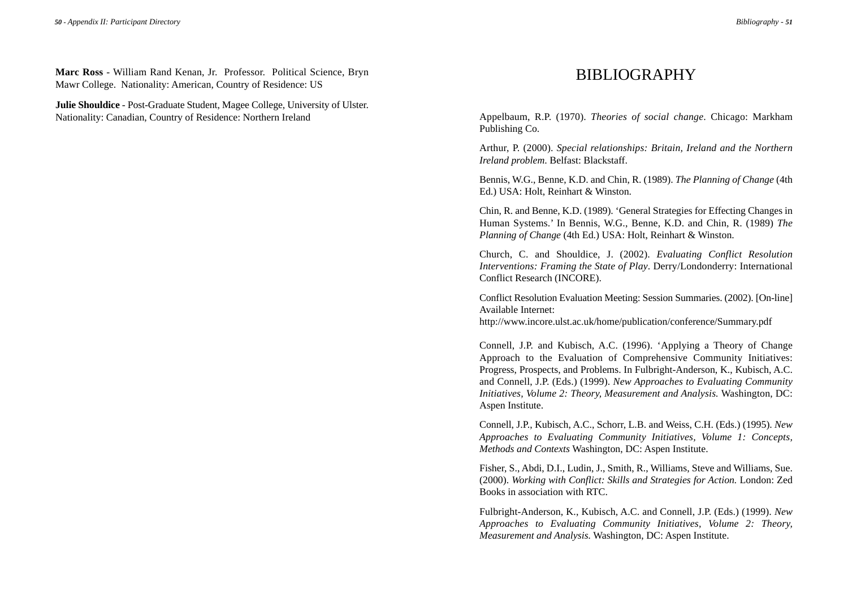**Marc Ross** - William Rand Kenan, Jr. Professor. Political Science, Bryn Mawr College. Nationality: American, Country of Residence: US

**Julie Shouldice** - Post-Graduate Student, Magee College, University of Ulster. Nationality: Canadian, Country of Residence: Northern Ireland

## BIBLIOGRAPHY

Appelbaum, R.P. (1970). *Theories of social change*. Chicago: Markham Publishing Co.

Arthur, P. (2000). *Special relationships: Britain, Ireland and the Northern Ireland problem*. Belfast: Blackstaff.

Bennis, W.G., Benne, K.D. and Chin, R. (1989). *The Planning of Change* (4th Ed.) USA: Holt, Reinhart & Winston.

Chin, R. and Benne, K.D. (1989). 'General Strategies for Effecting Changes in Human Systems.' In Bennis, W.G., Benne, K.D. and Chin, R. (1989) *The Planning of Change* (4th Ed.) USA: Holt, Reinhart & Winston.

Church, C. and Shouldice, J. (2002). *Evaluating Conflict Resolution Interventions: Framing the State of Play*. Derry/Londonderry: International Conflict Research (INCORE).

Conflict Resolution Evaluation Meeting: Session Summaries. (2002). [On-line] Available Internet:

http://www.incore.ulst.ac.uk/home/publication/conference/Summary.pdf

Connell, J.P. and Kubisch, A.C. (1996). 'Applying a Theory of Change Approach to the Evaluation of Comprehensive Community Initiatives: Progress, Prospects, and Problems. In Fulbright-Anderson, K., Kubisch, A.C. and Connell, J.P. (Eds.) (1999). *New Approaches to Evaluating Community Initiatives, Volume 2: Theory, Measurement and Analysis.* Washington, DC: Aspen Institute.

Connell, J.P., Kubisch, A.C., Schorr, L.B. and Weiss, C.H. (Eds.) (1995). *New Approaches to Evaluating Community Initiatives, Volume 1: Concepts, Methods and Contexts* Washington, DC: Aspen Institute.

Fisher, S., Abdi, D.I., Ludin, J., Smith, R., Williams, Steve and Williams, Sue. (2000). *Working with Conflict: Skills and Strategies for Action.* London: Zed Books in association with RTC.

Fulbright-Anderson, K., Kubisch, A.C. and Connell, J.P. (Eds.) (1999). *New Approaches to Evaluating Community Initiatives, Volume 2: Theory, Measurement and Analysis.* Washington, DC: Aspen Institute.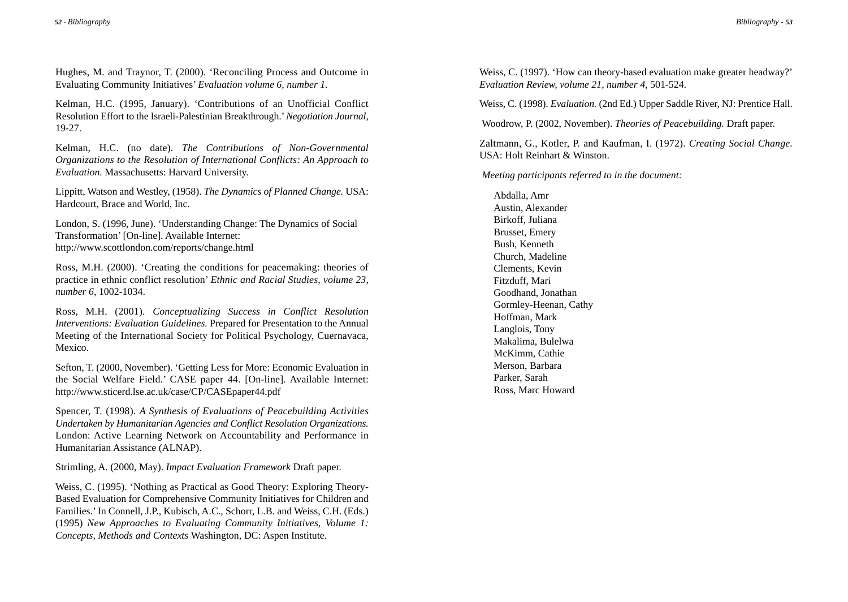Hughes, M. and Traynor, T. (2000). 'Reconciling Process and Outcome in Evaluating Community Initiatives' *Evaluation volume 6, number 1.*

Kelman, H.C. (1995, January). 'Contributions of an Unofficial Conflict Resolution Effort to the Israeli-Palestinian Breakthrough.'*Negotiation Journal*, 19-27.

Kelman, H.C. (no date). *The Contributions of Non-Governmental Organizations to the Resolution of International Conflicts: An Approach to Evaluation.* Massachusetts: Harvard University.

Lippitt, Watson and Westley, (1958). *The Dynamics of Planned Change.* USA: Hardcourt, Brace and World, Inc.

London, S. (1996, June). 'Understanding Change: The Dynamics of Social Transformation' [On-line]. Available Internet: http://www.scottlondon.com/reports/change.html

Ross, M.H. (2000). 'Creating the conditions for peacemaking: theories of practice in ethnic conflict resolution' *Ethnic and Racial Studies, volume 23, number 6*, 1002-1034.

Ross, M.H. (2001). *Conceptualizing Success in Conflict Resolution Interventions: Evaluation Guidelines.* Prepared for Presentation to the Annual Meeting of the International Society for Political Psychology, Cuernavaca, Mexico.

Sefton, T. (2000, November). 'Getting Less for More: Economic Evaluation in the Social Welfare Field.' CASE paper 44. [On-line]. Available Internet: http://www.sticerd.lse.ac.uk/case/CP/CASEpaper44.pdf

Spencer, T. (1998). *A Synthesis of Evaluations of Peacebuilding Activities Undertaken by Humanitarian Agencies and Conflict Resolution Organizations.* London: Active Learning Network on Accountability and Performance in Humanitarian Assistance (ALNAP).

Strimling, A. (2000, May). *Impact Evaluation Framework* Draft paper.

Weiss, C. (1995). 'Nothing as Practical as Good Theory: Exploring Theory-Based Evaluation for Comprehensive Community Initiatives for Children and Families.'In Connell, J.P., Kubisch, A.C., Schorr, L.B. and Weiss, C.H. (Eds.) (1995) *New Approaches to Evaluating Community Initiatives, Volume 1: Concepts, Methods and Contexts* Washington, DC: Aspen Institute.

Weiss, C. (1997). 'How can theory-based evaluation make greater headway?' *Evaluation Review, volume 21, number 4*, 501-524.

Weiss, C. (1998). *Evaluation.* (2nd Ed.) Upper Saddle River, NJ: Prentice Hall.

Woodrow, P. (2002, November). *Theories of Peacebuilding.* Draft paper.

Zaltmann, G., Kotler, P. and Kaufman, I. (1972). *Creating Social Change.* USA: Holt Reinhart & Winston.

*Meeting participants referred to in the document:*

Abdalla, Amr Austin, Alexander Birkoff, Juliana Brusset, Emery Bush, Kenneth Church, Madeline Clements, Kevin Fitzduff, Mari Goodhand, Jonathan Gormley-Heenan, Cathy Hoffman, Mark Langlois, Tony Makalima, Bulelwa McKimm, Cathie Merson, Barbara Parker, Sarah Ross, Marc Howard